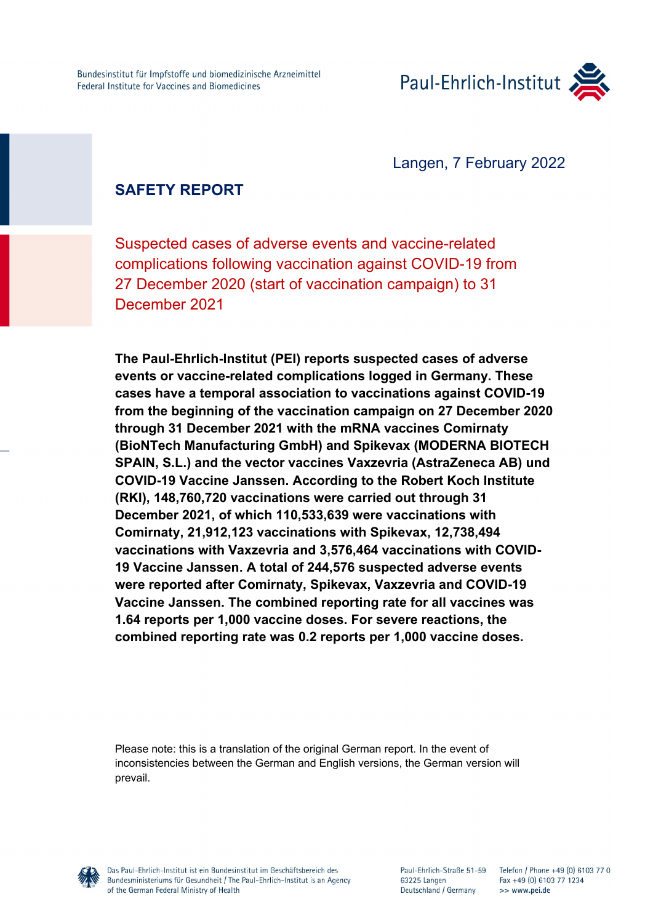

Langen, 7 February 2022

# **SAFETY REPORT**

Suspected cases of adverse events and vaccine-related complications following vaccination against COVID-19 from 27 December 2020 (start of vaccination campaign) to 31 December 2021

**The Paul-Ehrlich-Institut (PEI) reports suspected cases of adverse events or vaccine-related complications logged in Germany. These cases have a temporal association to vaccinations against COVID-19 from the beginning of the vaccination campaign on 27 December 2020 through 31 December 2021 with the mRNA vaccines Comirnaty (BioNTech Manufacturing GmbH) and Spikevax (MODERNA BIOTECH SPAIN, S.L.) and the vector vaccines Vaxzevria (AstraZeneca AB) und COVID-19 Vaccine Janssen. According to the Robert Koch Institute (RKI), 148,760,720 vaccinations were carried out through 31 December 2021, of which 110,533,639 were vaccinations with Comirnaty, 21,912,123 vaccinations with Spikevax, 12,738,494 vaccinations with Vaxzevria and 3,576,464 vaccinations with COVID-19 Vaccine Janssen. A total of 244,576 suspected adverse events were reported after Comirnaty, Spikevax, Vaxzevria and COVID-19 Vaccine Janssen. The combined reporting rate for all vaccines was 1.64 reports per 1,000 vaccine doses. For severe reactions, the combined reporting rate was 0.2 reports per 1,000 vaccine doses.**

Please note: this is a translation of the original German report. In the event of inconsistencies between the German and English versions, the German version will prevail.

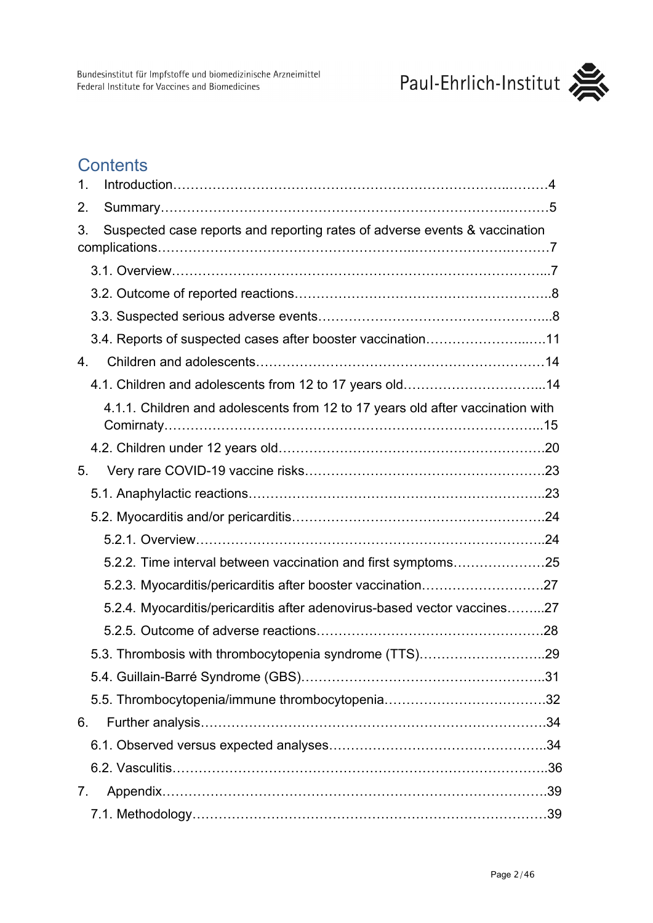

# **Contents**

| 1. |                                                                                |  |
|----|--------------------------------------------------------------------------------|--|
| 2. |                                                                                |  |
| 3. | Suspected case reports and reporting rates of adverse events & vaccination     |  |
|    |                                                                                |  |
|    |                                                                                |  |
|    |                                                                                |  |
|    | 3.4. Reports of suspected cases after booster vaccination11                    |  |
| 4. |                                                                                |  |
|    | 4.1. Children and adolescents from 12 to 17 years old14                        |  |
|    | 4.1.1. Children and adolescents from 12 to 17 years old after vaccination with |  |
|    |                                                                                |  |
| 5. |                                                                                |  |
|    |                                                                                |  |
|    |                                                                                |  |
|    |                                                                                |  |
|    |                                                                                |  |
|    | 5.2.3. Myocarditis/pericarditis after booster vaccination27                    |  |
|    | 5.2.4. Myocarditis/pericarditis after adenovirus-based vector vaccines27       |  |
|    |                                                                                |  |
|    |                                                                                |  |
|    |                                                                                |  |
|    |                                                                                |  |
| 6. |                                                                                |  |
|    |                                                                                |  |
|    |                                                                                |  |
| 7. |                                                                                |  |
|    |                                                                                |  |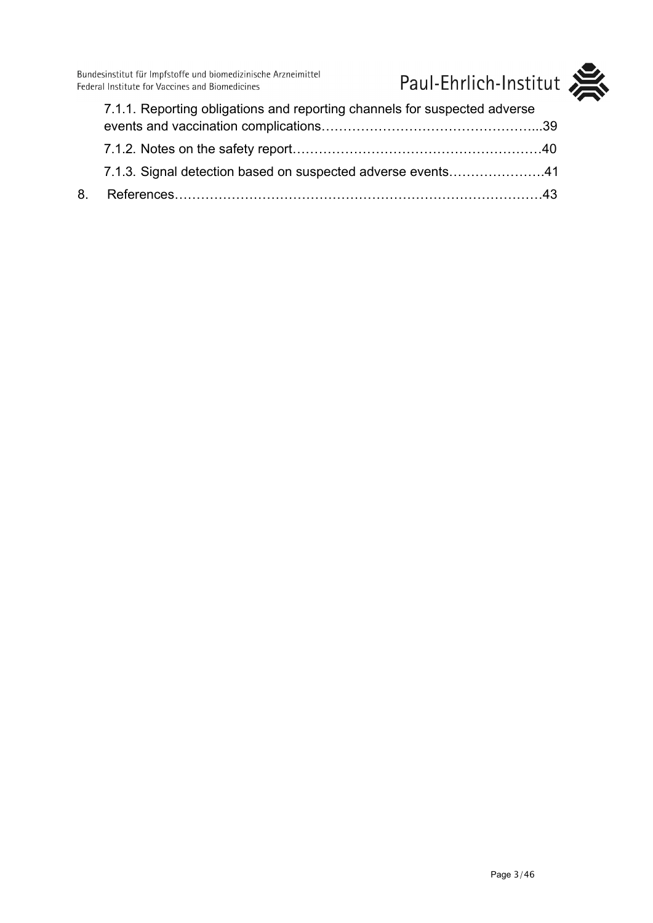Bundesinstitut für Impfstoffe und biomedizinische Arzneimittel<br>Federal Institute for Vaccines and Biomedicines



| 7.1.1. Reporting obligations and reporting channels for suspected adverse |  |
|---------------------------------------------------------------------------|--|
|                                                                           |  |
|                                                                           |  |
| 7.1.3. Signal detection based on suspected adverse events41               |  |
|                                                                           |  |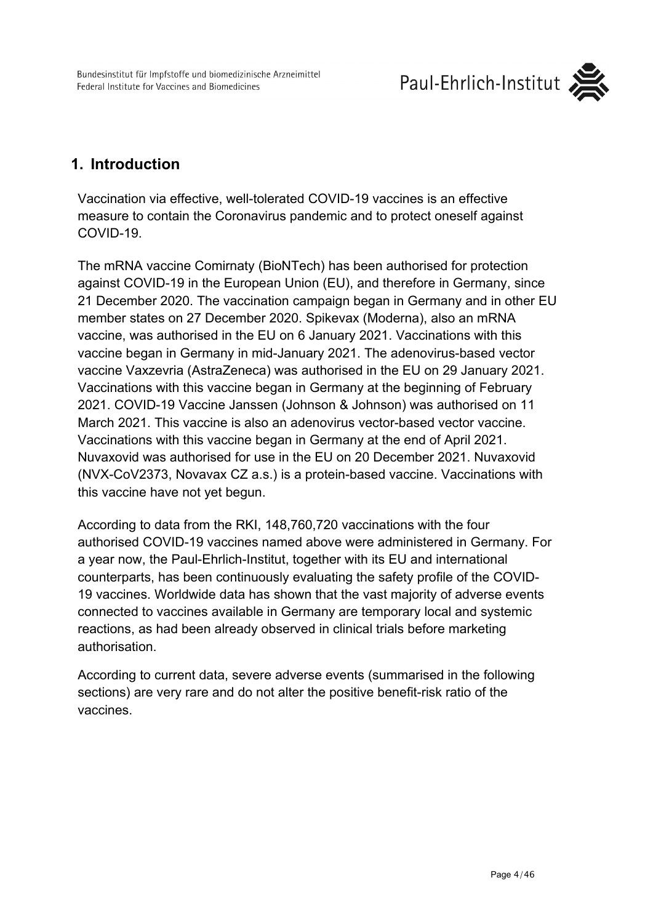

# <span id="page-3-0"></span>**1. Introduction**

Vaccination via effective, well-tolerated COVID-19 vaccines is an effective measure to contain the Coronavirus pandemic and to protect oneself against COVID-19.

The mRNA vaccine Comirnaty (BioNTech) has been authorised for protection against COVID-19 in the European Union (EU), and therefore in Germany, since 21 December 2020. The vaccination campaign began in Germany and in other EU member states on 27 December 2020. Spikevax (Moderna), also an mRNA vaccine, was authorised in the EU on 6 January 2021. Vaccinations with this vaccine began in Germany in mid-January 2021. The adenovirus-based vector vaccine Vaxzevria (AstraZeneca) was authorised in the EU on 29 January 2021. Vaccinations with this vaccine began in Germany at the beginning of February 2021. COVID-19 Vaccine Janssen (Johnson & Johnson) was authorised on 11 March 2021. This vaccine is also an adenovirus vector-based vector vaccine. Vaccinations with this vaccine began in Germany at the end of April 2021. Nuvaxovid was authorised for use in the EU on 20 December 2021. Nuvaxovid (NVX-CoV2373, Novavax CZ a.s.) is a protein-based vaccine. Vaccinations with this vaccine have not yet begun.

According to data from the RKI, 148,760,720 vaccinations with the four authorised COVID-19 vaccines named above were administered in Germany. For a year now, the Paul-Ehrlich-Institut, together with its EU and international counterparts, has been continuously evaluating the safety profile of the COVID-19 vaccines. Worldwide data has shown that the vast majority of adverse events connected to vaccines available in Germany are temporary local and systemic reactions, as had been already observed in clinical trials before marketing authorisation.

According to current data, severe adverse events (summarised in the following sections) are very rare and do not alter the positive benefit-risk ratio of the vaccines.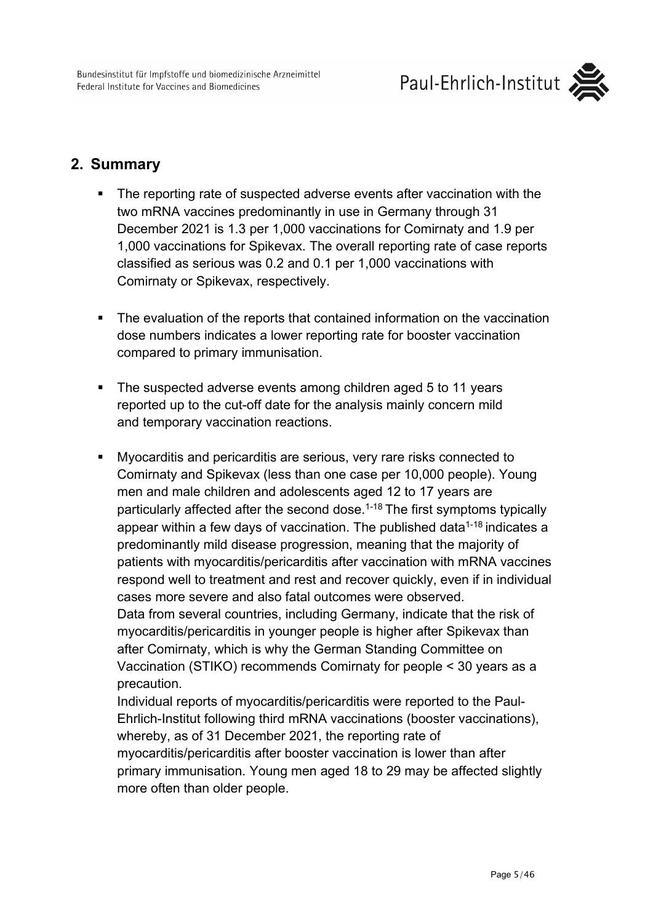## <span id="page-4-0"></span>**2. Summary**

- The reporting rate of suspected adverse events after vaccination with the two mRNA vaccines predominantly in use in Germany through 31 December 2021 is 1.3 per 1,000 vaccinations for Comirnaty and 1.9 per 1,000 vaccinations for Spikevax. The overall reporting rate of case reports classified as serious was 0.2 and 0.1 per 1,000 vaccinations with Comirnaty or Spikevax, respectively.
- The evaluation of the reports that contained information on the vaccination dose numbers indicates a lower reporting rate for booster vaccination compared to primary immunisation.
- The suspected adverse events among children aged 5 to 11 years reported up to the cut-off date for the analysis mainly concern mild and temporary vaccination reactions.
- Myocarditis and pericarditis are serious, very rare risks connected to Comirnaty and Spikevax (less than one case per 10,000 people). Young men and male children and adolescents aged 12 to 17 years are particularly affected after the second dose.<sup>1-18</sup> The first symptoms typically appear within a few days of vaccination. The published data<sup>1-18</sup> indicates a predominantly mild disease progression, meaning that the majority of patients with myocarditis/pericarditis after vaccination with mRNA vaccines respond well to treatment and rest and recover quickly, even if in individual cases more severe and also fatal outcomes were observed. Data from several countries, including Germany, indicate that the risk of myocarditis/pericarditis in younger people is higher after Spikevax than after Comirnaty, which is why the German Standing Committee on Vaccination (STIKO) recommends Comirnaty for people < 30 years as a precaution.

Individual reports of myocarditis/pericarditis were reported to the Paul-Ehrlich-Institut following third mRNA vaccinations (booster vaccinations), whereby, as of 31 December 2021, the reporting rate of myocarditis/pericarditis after booster vaccination is lower than after primary immunisation. Young men aged 18 to 29 may be affected slightly more often than older people.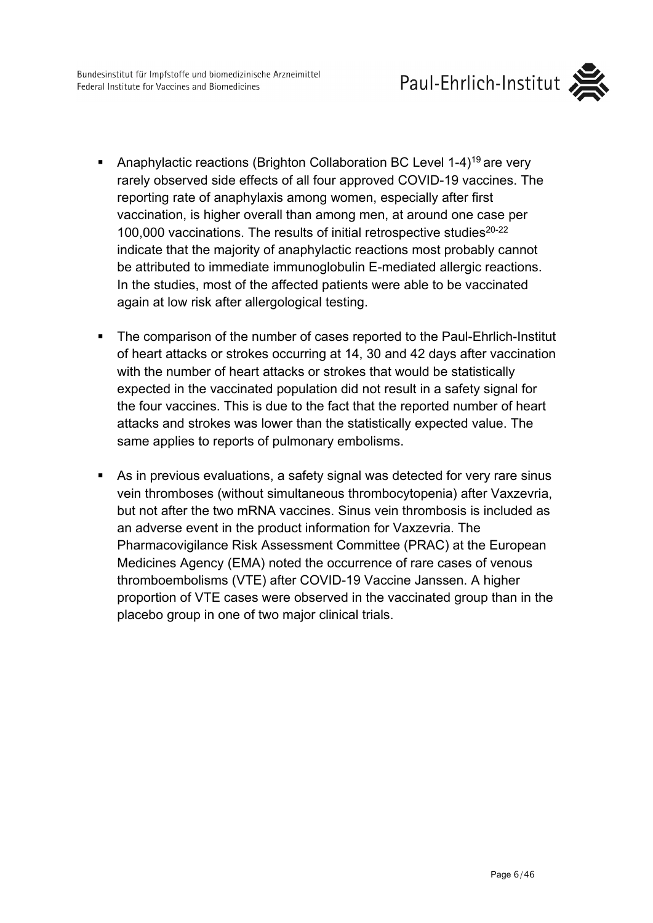Bundesinstitut für Impfstoffe und biomedizinische Arzneimittel Federal Institute for Vaccines and Biomedicines



- Anaphylactic reactions (Brighton Collaboration BC Level  $1-4$ )<sup>19</sup> are very rarely observed side effects of all four approved COVID-19 vaccines. The reporting rate of anaphylaxis among women, especially after first vaccination, is higher overall than among men, at around one case per 100,000 vaccinations. The results of initial retrospective studies<sup>20-22</sup> indicate that the majority of anaphylactic reactions most probably cannot be attributed to immediate immunoglobulin E-mediated allergic reactions. In the studies, most of the affected patients were able to be vaccinated again at low risk after allergological testing.
- The comparison of the number of cases reported to the Paul-Ehrlich-Institut of heart attacks or strokes occurring at 14, 30 and 42 days after vaccination with the number of heart attacks or strokes that would be statistically expected in the vaccinated population did not result in a safety signal for the four vaccines. This is due to the fact that the reported number of heart attacks and strokes was lower than the statistically expected value. The same applies to reports of pulmonary embolisms.
- As in previous evaluations, a safety signal was detected for very rare sinus vein thromboses (without simultaneous thrombocytopenia) after Vaxzevria, but not after the two mRNA vaccines. Sinus vein thrombosis is included as an adverse event in the product information for Vaxzevria. The Pharmacovigilance Risk Assessment Committee (PRAC) at the European Medicines Agency (EMA) noted the occurrence of rare cases of venous thromboembolisms (VTE) after COVID-19 Vaccine Janssen. A higher proportion of VTE cases were observed in the vaccinated group than in the placebo group in one of two major clinical trials.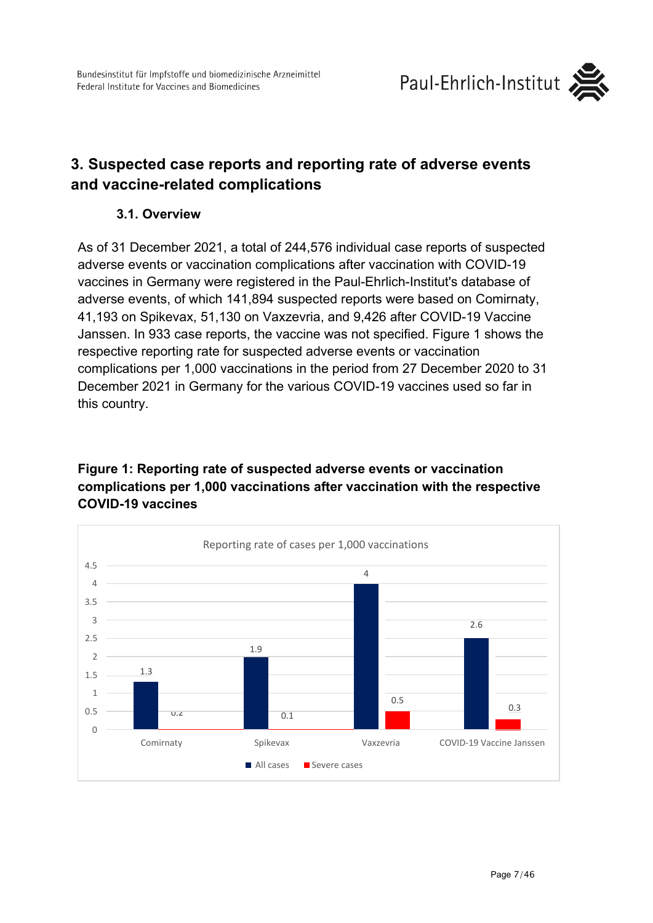

# <span id="page-6-1"></span><span id="page-6-0"></span>**3. Suspected case reports and reporting rate of adverse events and vaccine-related complications**

### **3.1. Overview**

As of 31 December 2021, a total of 244,576 individual case reports of suspected adverse events or vaccination complications after vaccination with COVID-19 vaccines in Germany were registered in the Paul-Ehrlich-Institut's database of adverse events, of which 141,894 suspected reports were based on Comirnaty, 41,193 on Spikevax, 51,130 on Vaxzevria, and 9,426 after COVID-19 Vaccine Janssen. In 933 case reports, the vaccine was not specified. Figure 1 shows the respective reporting rate for suspected adverse events or vaccination complications per 1,000 vaccinations in the period from 27 December 2020 to 31 December 2021 in Germany for the various COVID-19 vaccines used so far in this country.

### **Figure 1: Reporting rate of suspected adverse events or vaccination complications per 1,000 vaccinations after vaccination with the respective COVID-19 vaccines**

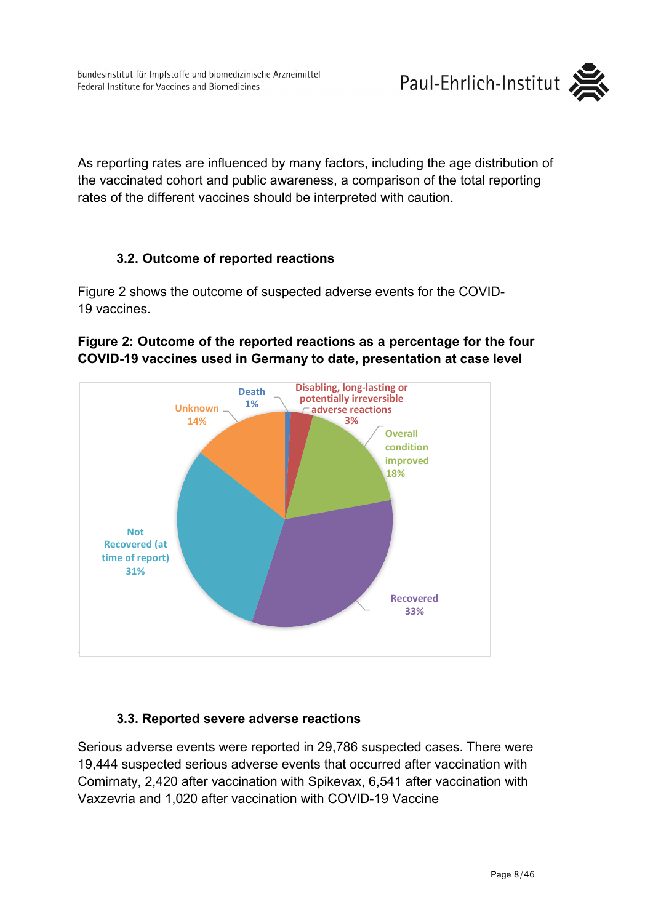As reporting rates are influenced by many factors, including the age distribution of the vaccinated cohort and public awareness, a comparison of the total reporting rates of the different vaccines should be interpreted with caution.

### **3.2. Outcome of reported reactions**

<span id="page-7-0"></span>Figure 2 shows the outcome of suspected adverse events for the COVID-19 vaccines.

### **Figure 2: Outcome of the reported reactions as a percentage for the four COVID-19 vaccines used in Germany to date, presentation at case level**



### **3.3. Reported severe adverse reactions**

<span id="page-7-1"></span>Serious adverse events were reported in 29,786 suspected cases. There were 19,444 suspected serious adverse events that occurred after vaccination with Comirnaty, 2,420 after vaccination with Spikevax, 6,541 after vaccination with Vaxzevria and 1,020 after vaccination with COVID-19 Vaccine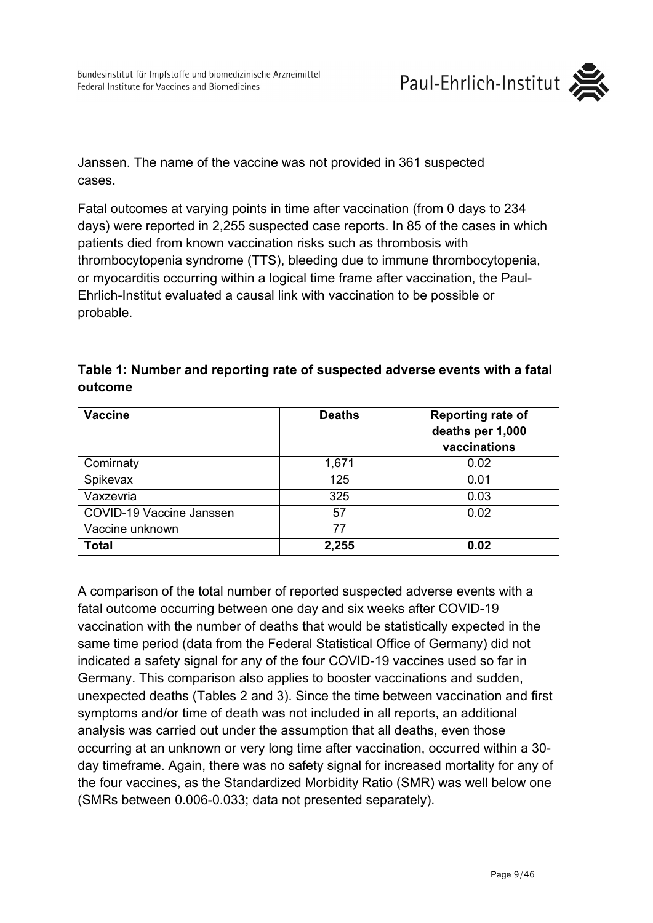Janssen. The name of the vaccine was not provided in 361 suspected cases.

Fatal outcomes at varying points in time after vaccination (from 0 days to 234 days) were reported in 2,255 suspected case reports. In 85 of the cases in which patients died from known vaccination risks such as thrombosis with thrombocytopenia syndrome (TTS), bleeding due to immune thrombocytopenia, or myocarditis occurring within a logical time frame after vaccination, the Paul-Ehrlich-Institut evaluated a causal link with vaccination to be possible or probable.

| <b>Vaccine</b>           | <b>Deaths</b> | <b>Reporting rate of</b><br>deaths per 1,000<br>vaccinations |
|--------------------------|---------------|--------------------------------------------------------------|
| Comirnaty                | 1,671         | 0.02                                                         |
| Spikevax                 | 125           | 0.01                                                         |
| Vaxzevria                | 325           | 0.03                                                         |
| COVID-19 Vaccine Janssen | 57            | 0.02                                                         |
| Vaccine unknown          | 77            |                                                              |
| <b>Total</b>             | 2,255         | 0.02                                                         |

## **Table 1: Number and reporting rate of suspected adverse events with a fatal outcome**

A comparison of the total number of reported suspected adverse events with a fatal outcome occurring between one day and six weeks after COVID-19 vaccination with the number of deaths that would be statistically expected in the same time period (data from the Federal Statistical Office of Germany) did not indicated a safety signal for any of the four COVID-19 vaccines used so far in Germany. This comparison also applies to booster vaccinations and sudden, unexpected deaths (Tables 2 and 3). Since the time between vaccination and first symptoms and/or time of death was not included in all reports, an additional analysis was carried out under the assumption that all deaths, even those occurring at an unknown or very long time after vaccination, occurred within a 30 day timeframe. Again, there was no safety signal for increased mortality for any of the four vaccines, as the Standardized Morbidity Ratio (SMR) was well below one (SMRs between 0.006-0.033; data not presented separately).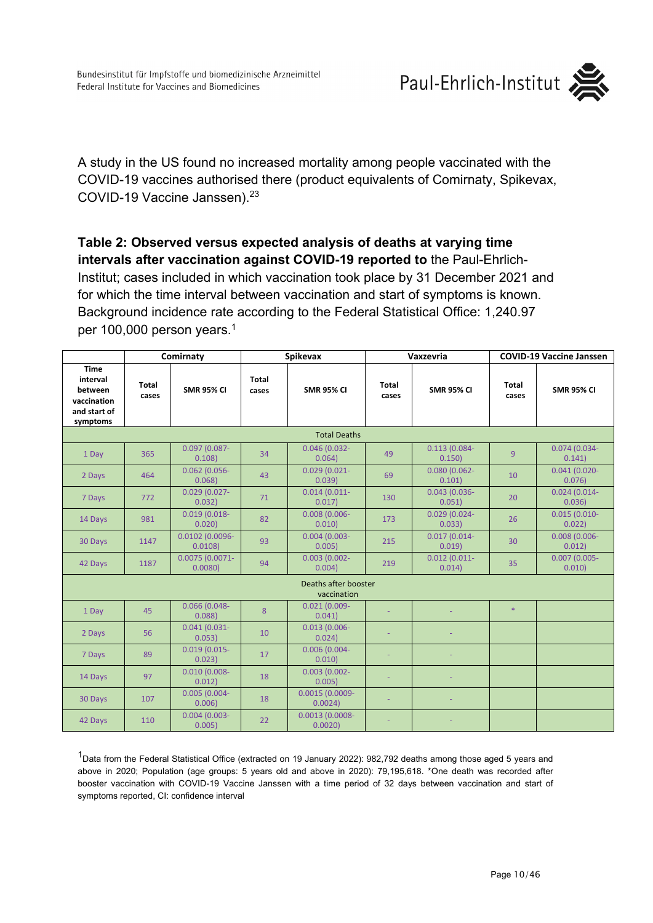Paul-Ehrlich-Institut



A study in the US found no increased mortality among people vaccinated with the COVID-19 vaccines authorised there (product equivalents of Comirnaty, Spikevax, COVID-19 Vaccine Janssen).23

#### **Table 2: Observed versus expected analysis of deaths at varying time intervals after vaccination against COVID-19 reported to** the Paul-Ehrlich-

Institut; cases included in which vaccination took place by 31 December 2021 and for which the time interval between vaccination and start of symptoms is known. Background incidence rate according to the Federal Statistical Office: 1,240.97 per 100,000 person years.<sup>1</sup>

|                                                                               | Comirnaty      |                             |                | <b>Spikevax</b>                     |                       | Vaxzevria                 | <b>COVID-19 Vaccine Janssen</b> |                           |
|-------------------------------------------------------------------------------|----------------|-----------------------------|----------------|-------------------------------------|-----------------------|---------------------------|---------------------------------|---------------------------|
| <b>Time</b><br>interval<br>between<br>vaccination<br>and start of<br>symptoms | Total<br>cases | <b>SMR 95% CI</b>           | Total<br>cases | <b>SMR 95% CI</b>                   | <b>Total</b><br>cases | <b>SMR 95% CI</b>         | <b>Total</b><br>cases           | <b>SMR 95% CI</b>         |
|                                                                               |                |                             |                | <b>Total Deaths</b>                 |                       |                           |                                 |                           |
| 1 Day                                                                         | 365            | $0.097(0.087 -$<br>0.108    | 34             | $0.046(0.032 -$<br>0.064)           | 49                    | $0.113(0.084 -$<br>0.150  | 9                               | $0.074(0.034 -$<br>0.141) |
| 2 Days                                                                        | 464            | $0.062(0.056 -$<br>0.068    | 43             | $0.029(0.021 -$<br>0.039)           | 69                    | $0.080(0.062 -$<br>0.101) | 10                              | $0.041(0.020 -$<br>0.076  |
| 7 Days                                                                        | 772            | $0.029(0.027 -$<br>0.032)   | 71             | $0.014(0.011 -$<br>0.017)           | 130                   | $0.043(0.036 -$<br>0.051) | 20                              | $0.024(0.014 -$<br>0.036  |
| 14 Days                                                                       | 981            | $0.019(0.018 -$<br>0.020    | 82             | $0.008(0.006 -$<br>0.010)           | 173                   | $0.029(0.024 -$<br>0.033  | 26                              | $0.015(0.010 -$<br>0.022  |
| 30 Days                                                                       | 1147           | 0.0102 (0.0096-<br>0.0108   | 93             | $0.004(0.003 -$<br>0.005)           | 215                   | $0.017(0.014 -$<br>0.019  | 30                              | $0.008(0.006 -$<br>0.012) |
| 42 Days                                                                       | 1187           | $0.0075(0.0071 -$<br>0.0080 | 94             | $0.003(0.002 -$<br>0.004)           | 219                   | $0.012(0.011 -$<br>0.014) | 35                              | $0.007(0.005 -$<br>0.010) |
|                                                                               |                |                             |                | Deaths after booster<br>vaccination |                       |                           |                                 |                           |
| 1 Day                                                                         | 45             | $0.066(0.048 -$<br>0.088    | 8              | $0.021(0.009 -$<br>0.041)           |                       |                           | $\ast$                          |                           |
| 2 Days                                                                        | 56             | $0.041(0.031 -$<br>0.053)   | 10             | $0.013(0.006 -$<br>0.024)           |                       |                           |                                 |                           |
| 7 Days                                                                        | 89             | $0.019(0.015 -$<br>0.023    | 17             | $0.006(0.004 -$<br>0.010            |                       |                           |                                 |                           |
| 14 Days                                                                       | 97             | $0.010(0.008 -$<br>0.012    | 18             | $0.003(0.002 -$<br>0.005)           |                       |                           |                                 |                           |
| 30 Days                                                                       | 107            | $0.005(0.004 -$<br>0.006    | 18             | 0.0015 (0.0009-<br>0.0024)          |                       |                           |                                 |                           |
| 42 Days                                                                       | 110            | $0.004(0.003 -$<br>0.005    | 22             | $0.0013(0.0008 -$<br>0.0020         |                       |                           |                                 |                           |

<sup>1</sup>Data from the Federal Statistical Office (extracted on 19 January 2022): 982,792 deaths among those aged 5 years and above in 2020; Population (age groups: 5 years old and above in 2020): 79,195,618. \*One death was recorded after booster vaccination with COVID-19 Vaccine Janssen with a time period of 32 days between vaccination and start of symptoms reported, CI: confidence interval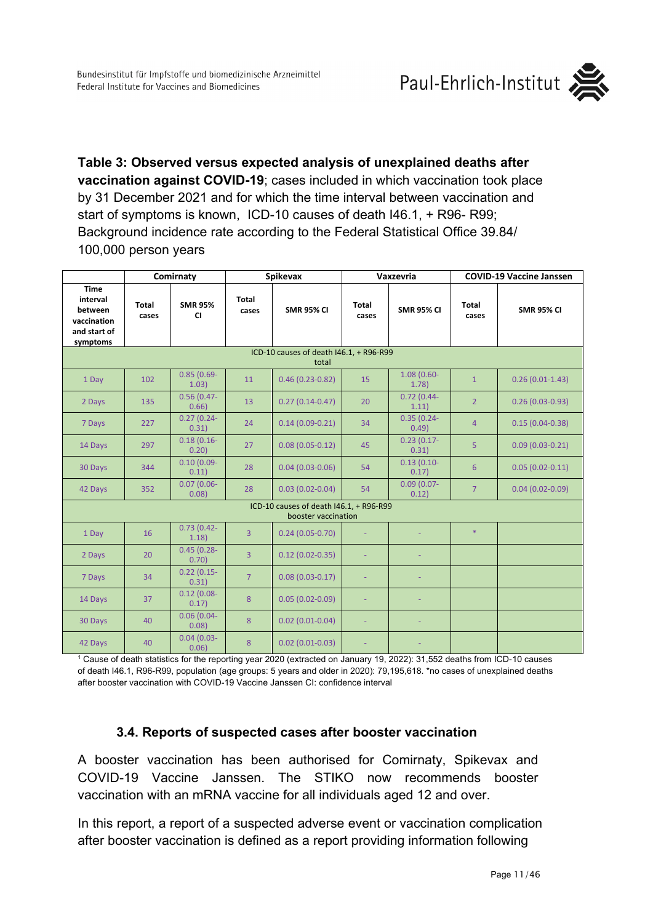**Table 3: Observed versus expected analysis of unexplained deaths after vaccination against COVID-19**; cases included in which vaccination took place by 31 December 2021 and for which the time interval between vaccination and start of symptoms is known, ICD-10 causes of death I46.1, + R96- R99; Background incidence rate according to the Federal Statistical Office 39.84/ 100,000 person years

|                                                                               | Comirnaty                                        |                             | <b>Spikevax</b> |                                                                |                | Vaxzevria              | <b>COVID-19 Vaccine Janssen</b> |                     |  |  |  |  |
|-------------------------------------------------------------------------------|--------------------------------------------------|-----------------------------|-----------------|----------------------------------------------------------------|----------------|------------------------|---------------------------------|---------------------|--|--|--|--|
| <b>Time</b><br>interval<br>between<br>vaccination<br>and start of<br>symptoms | <b>Total</b><br>cases                            | <b>SMR 95%</b><br><b>CI</b> | Total<br>cases  | <b>SMR 95% CI</b>                                              | Total<br>cases | <b>SMR 95% CI</b>      | <b>Total</b><br>cases           | <b>SMR 95% CI</b>   |  |  |  |  |
|                                                                               | ICD-10 causes of death I46.1, + R96-R99<br>total |                             |                 |                                                                |                |                        |                                 |                     |  |  |  |  |
| 1 Day                                                                         | 102                                              | $0.85(0.69 -$<br>1.03)      | 11              | $0.46(0.23-0.82)$                                              | 15             | $1.08(0.60 -$<br>1.78  | $\mathbf{1}$                    | $0.26(0.01-1.43)$   |  |  |  |  |
| 2 Days                                                                        | 135                                              | $0.56(0.47 -$<br>0.66       | 13              | $0.27(0.14-0.47)$                                              | 20             | $0.72(0.44 -$<br>1.11) | $\overline{2}$                  | $0.26(0.03-0.93)$   |  |  |  |  |
| 7 Days                                                                        | 227                                              | $0.27(0.24 -$<br>0.31)      | 24              | $0.14(0.09 - 0.21)$                                            | 34             | $0.35(0.24 -$<br>0.49  | $\overline{4}$                  | $0.15(0.04 - 0.38)$ |  |  |  |  |
| 14 Days                                                                       | 297                                              | $0.18(0.16 -$<br>0.20       | 27              | $0.08(0.05 - 0.12)$                                            | 45             | $0.23(0.17 -$<br>0.31) | $\overline{5}$                  | $0.09(0.03 - 0.21)$ |  |  |  |  |
| 30 Days                                                                       | 344                                              | $0.10(0.09 -$<br>0.11)      | 28              | $0.04(0.03 - 0.06)$                                            | 54             | $0.13(0.10-$<br>0.17)  | 6                               | $0.05(0.02 - 0.11)$ |  |  |  |  |
| 42 Days                                                                       | 352                                              | $0.07(0.06 -$<br>0.08       | 28              | $0.03(0.02-0.04)$                                              | 54             | $0.09(0.07 -$<br>0.12) | $\overline{7}$                  | $0.04(0.02 - 0.09)$ |  |  |  |  |
|                                                                               |                                                  |                             |                 | ICD-10 causes of death I46.1, + R96-R99<br>booster vaccination |                |                        |                                 |                     |  |  |  |  |
| 1 Day                                                                         | 16                                               | $0.73(0.42 -$<br>1.18       | $\overline{3}$  | $0.24(0.05-0.70)$                                              |                |                        | $\ast$                          |                     |  |  |  |  |
| 2 Days                                                                        | 20                                               | $0.45(0.28 -$<br>0.70)      | $\overline{3}$  | $0.12(0.02 - 0.35)$                                            |                |                        |                                 |                     |  |  |  |  |
| 7 Days                                                                        | 34                                               | $0.22(0.15 -$<br>0.31)      | $\overline{7}$  | $0.08(0.03 - 0.17)$                                            |                |                        |                                 |                     |  |  |  |  |
| 14 Days                                                                       | 37                                               | $0.12(0.08 -$<br>0.17)      | 8               | $0.05(0.02-0.09)$                                              |                |                        |                                 |                     |  |  |  |  |
| 30 Days                                                                       | 40                                               | $0.06(0.04 -$<br>0.08       | 8               | $0.02(0.01-0.04)$                                              | ÷,             |                        |                                 |                     |  |  |  |  |
| 42 Days                                                                       | 40                                               | $0.04(0.03 -$<br>0.06       | 8               | $0.02(0.01-0.03)$                                              |                |                        |                                 |                     |  |  |  |  |

<sup>1</sup> Cause of death statistics for the reporting year 2020 (extracted on January 19, 2022): 31,552 deaths from ICD-10 causes of death I46.1, R96-R99, population (age groups: 5 years and older in 2020): 79,195,618. \*no cases of unexplained deaths after booster vaccination with COVID-19 Vaccine Janssen CI: confidence interval

### **3.4. Reports of suspected cases after booster vaccination**

<span id="page-10-0"></span>A booster vaccination has been authorised for Comirnaty, Spikevax and COVID-19 Vaccine Janssen. The STIKO now recommends booster vaccination with an mRNA vaccine for all individuals aged 12 and over.

In this report, a report of a suspected adverse event or vaccination complication after booster vaccination is defined as a report providing information following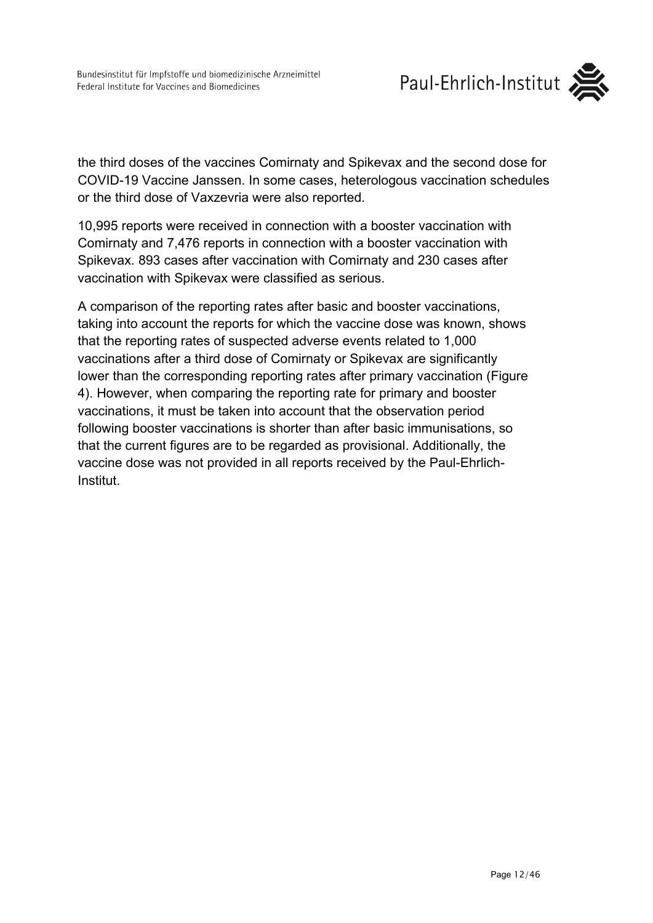

the third doses of the vaccines Comirnaty and Spikevax and the second dose for COVID-19 Vaccine Janssen. In some cases, heterologous vaccination schedules or the third dose of Vaxzevria were also reported.

10,995 reports were received in connection with a booster vaccination with Comirnaty and 7,476 reports in connection with a booster vaccination with Spikevax. 893 cases after vaccination with Comirnaty and 230 cases after vaccination with Spikevax were classified as serious.

A comparison of the reporting rates after basic and booster vaccinations, taking into account the reports for which the vaccine dose was known, shows that the reporting rates of suspected adverse events related to 1,000 vaccinations after a third dose of Comirnaty or Spikevax are significantly lower than the corresponding reporting rates after primary vaccination (Figure 4). However, when comparing the reporting rate for primary and booster vaccinations, it must be taken into account that the observation period following booster vaccinations is shorter than after basic immunisations, so that the current figures are to be regarded as provisional. Additionally, the vaccine dose was not provided in all reports received by the Paul-Ehrlich-Institut.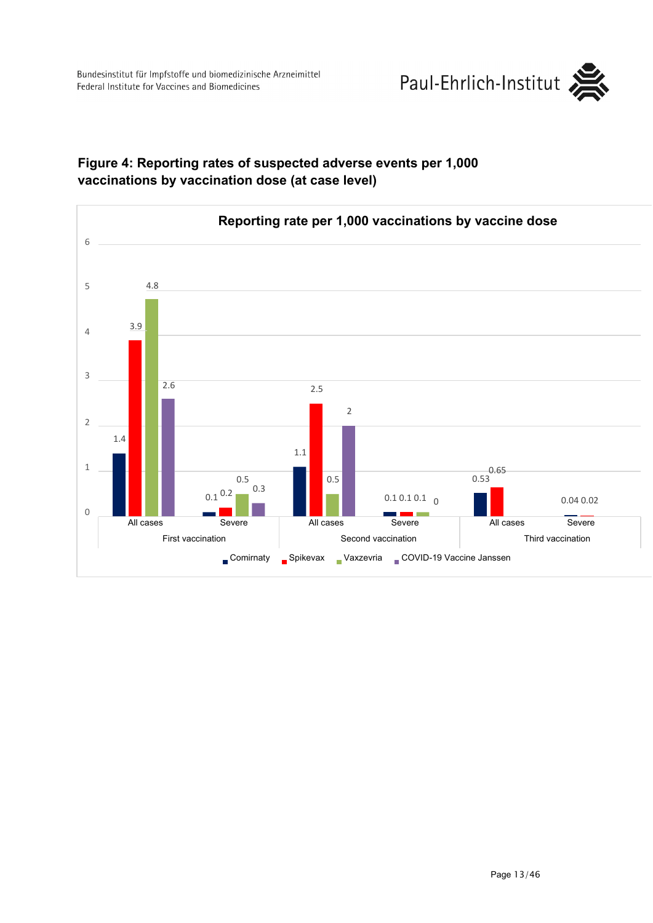Bundesinstitut für Impfstoffe und biomedizinische Arzneimittel Federal Institute for Vaccines and Biomedicines





### **Figure 4: Reporting rates of suspected adverse events per 1,000 vaccinations by vaccination dose (at case level)**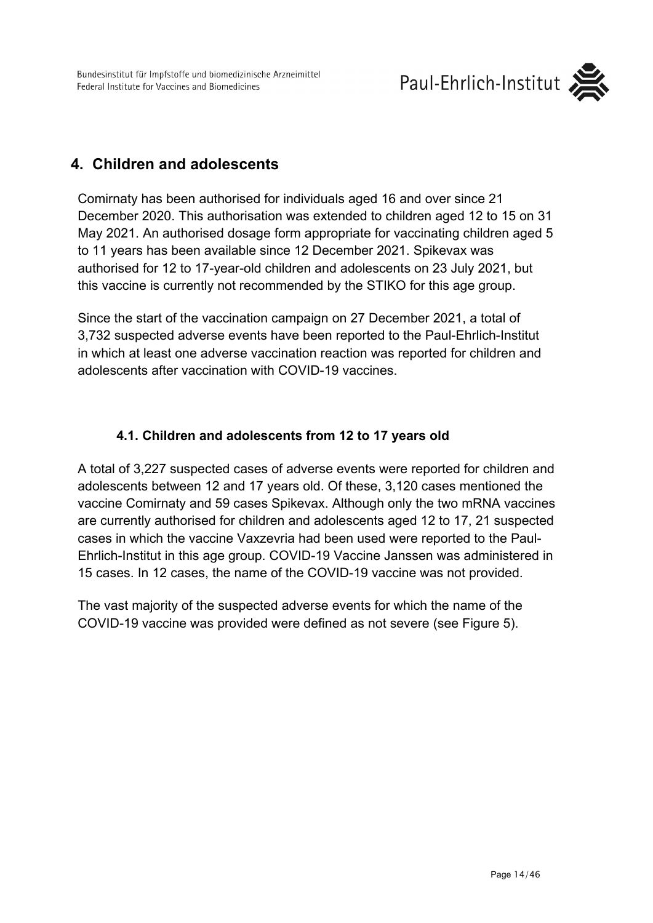

# <span id="page-13-0"></span>**4. Children and adolescents**

Comirnaty has been authorised for individuals aged 16 and over since 21 December 2020. This authorisation was extended to children aged 12 to 15 on 31 May 2021. An authorised dosage form appropriate for vaccinating children aged 5 to 11 years has been available since 12 December 2021. Spikevax was authorised for 12 to 17-year-old children and adolescents on 23 July 2021, but this vaccine is currently not recommended by the STIKO for this age group.

Since the start of the vaccination campaign on 27 December 2021, a total of 3,732 suspected adverse events have been reported to the Paul-Ehrlich-Institut in which at least one adverse vaccination reaction was reported for children and adolescents after vaccination with COVID-19 vaccines.

## **4.1. Children and adolescents from 12 to 17 years old**

<span id="page-13-1"></span>A total of 3,227 suspected cases of adverse events were reported for children and adolescents between 12 and 17 years old. Of these, 3,120 cases mentioned the vaccine Comirnaty and 59 cases Spikevax. Although only the two mRNA vaccines are currently authorised for children and adolescents aged 12 to 17, 21 suspected cases in which the vaccine Vaxzevria had been used were reported to the Paul-Ehrlich-Institut in this age group. COVID-19 Vaccine Janssen was administered in 15 cases. In 12 cases, the name of the COVID-19 vaccine was not provided.

The vast majority of the suspected adverse events for which the name of the COVID-19 vaccine was provided were defined as not severe (see Figure 5).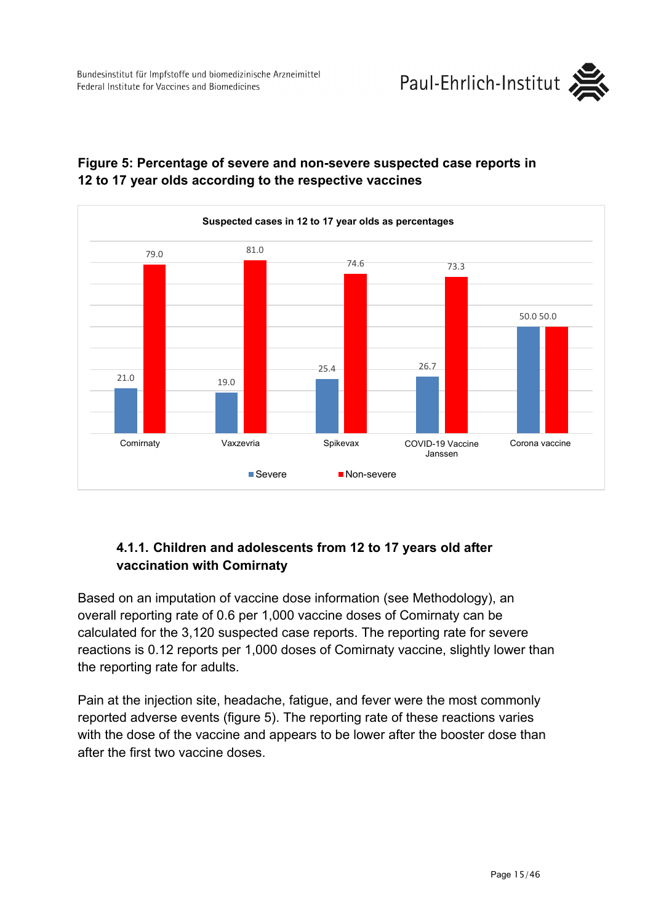



## **Figure 5: Percentage of severe and non-severe suspected case reports in 12 to 17 year olds according to the respective vaccines**

### **4.1.1. Children and adolescents from 12 to 17 years old after vaccination with Comirnaty**

<span id="page-14-0"></span>Based on an imputation of vaccine dose information (see Methodology), an overall reporting rate of 0.6 per 1,000 vaccine doses of Comirnaty can be calculated for the 3,120 suspected case reports. The reporting rate for severe reactions is 0.12 reports per 1,000 doses of Comirnaty vaccine, slightly lower than the reporting rate for adults.

Pain at the injection site, headache, fatigue, and fever were the most commonly reported adverse events (figure 5). The reporting rate of these reactions varies with the dose of the vaccine and appears to be lower after the booster dose than after the first two vaccine doses.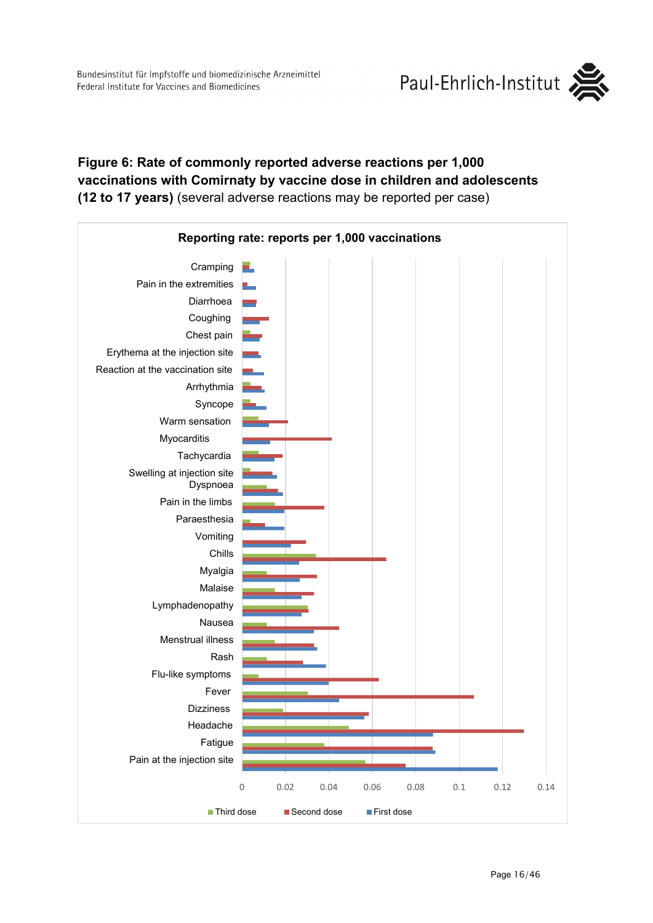

### **Figure 6: Rate of commonly reported adverse reactions per 1,000 vaccinations with Comirnaty by vaccine dose in children and adolescents (12 to 17 years)** (several adverse reactions may be reported per case)

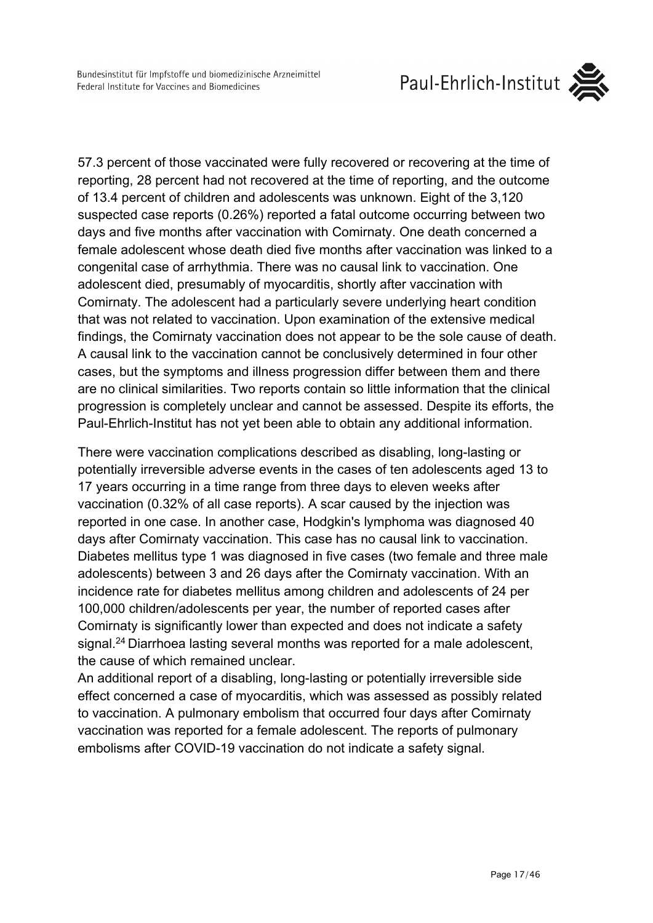57.3 percent of those vaccinated were fully recovered or recovering at the time of reporting, 28 percent had not recovered at the time of reporting, and the outcome of 13.4 percent of children and adolescents was unknown. Eight of the 3,120 suspected case reports (0.26%) reported a fatal outcome occurring between two days and five months after vaccination with Comirnaty. One death concerned a female adolescent whose death died five months after vaccination was linked to a congenital case of arrhythmia. There was no causal link to vaccination. One adolescent died, presumably of myocarditis, shortly after vaccination with Comirnaty. The adolescent had a particularly severe underlying heart condition that was not related to vaccination. Upon examination of the extensive medical findings, the Comirnaty vaccination does not appear to be the sole cause of death. A causal link to the vaccination cannot be conclusively determined in four other cases, but the symptoms and illness progression differ between them and there are no clinical similarities. Two reports contain so little information that the clinical progression is completely unclear and cannot be assessed. Despite its efforts, the Paul-Ehrlich-Institut has not yet been able to obtain any additional information.

There were vaccination complications described as disabling, long-lasting or potentially irreversible adverse events in the cases of ten adolescents aged 13 to 17 years occurring in a time range from three days to eleven weeks after vaccination (0.32% of all case reports). A scar caused by the injection was reported in one case. In another case, Hodgkin's lymphoma was diagnosed 40 days after Comirnaty vaccination. This case has no causal link to vaccination. Diabetes mellitus type 1 was diagnosed in five cases (two female and three male adolescents) between 3 and 26 days after the Comirnaty vaccination. With an incidence rate for diabetes mellitus among children and adolescents of 24 per 100,000 children/adolescents per year, the number of reported cases after Comirnaty is significantly lower than expected and does not indicate a safety signal.<sup>24</sup> Diarrhoea lasting several months was reported for a male adolescent, the cause of which remained unclear.

An additional report of a disabling, long-lasting or potentially irreversible side effect concerned a case of myocarditis, which was assessed as possibly related to vaccination. A pulmonary embolism that occurred four days after Comirnaty vaccination was reported for a female adolescent. The reports of pulmonary embolisms after COVID-19 vaccination do not indicate a safety signal.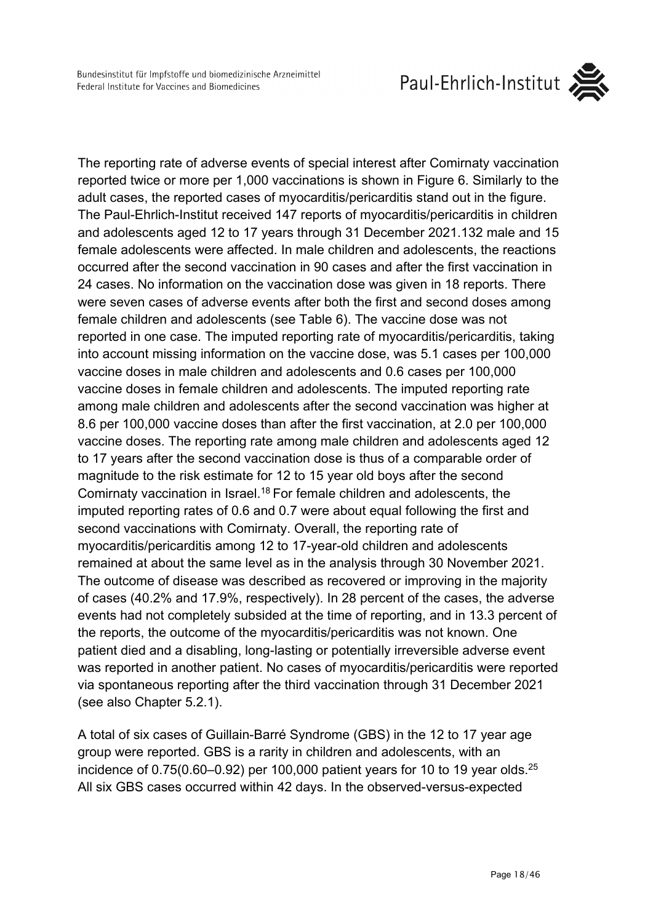Paul-Ehrlich-Institut



The reporting rate of adverse events of special interest after Comirnaty vaccination reported twice or more per 1,000 vaccinations is shown in Figure 6. Similarly to the adult cases, the reported cases of myocarditis/pericarditis stand out in the figure. The Paul-Ehrlich-Institut received 147 reports of myocarditis/pericarditis in children and adolescents aged 12 to 17 years through 31 December 2021.132 male and 15 female adolescents were affected. In male children and adolescents, the reactions occurred after the second vaccination in 90 cases and after the first vaccination in 24 cases. No information on the vaccination dose was given in 18 reports. There were seven cases of adverse events after both the first and second doses among female children and adolescents (see Table 6). The vaccine dose was not reported in one case. The imputed reporting rate of myocarditis/pericarditis, taking into account missing information on the vaccine dose, was 5.1 cases per 100,000 vaccine doses in male children and adolescents and 0.6 cases per 100,000 vaccine doses in female children and adolescents. The imputed reporting rate among male children and adolescents after the second vaccination was higher at 8.6 per 100,000 vaccine doses than after the first vaccination, at 2.0 per 100,000 vaccine doses. The reporting rate among male children and adolescents aged 12 to 17 years after the second vaccination dose is thus of a comparable order of magnitude to the risk estimate for 12 to 15 year old boys after the second Comirnaty vaccination in Israel.18 For female children and adolescents, the imputed reporting rates of 0.6 and 0.7 were about equal following the first and second vaccinations with Comirnaty. Overall, the reporting rate of myocarditis/pericarditis among 12 to 17-year-old children and adolescents remained at about the same level as in the analysis through 30 November 2021. The outcome of disease was described as recovered or improving in the majority of cases (40.2% and 17.9%, respectively). In 28 percent of the cases, the adverse events had not completely subsided at the time of reporting, and in 13.3 percent of the reports, the outcome of the myocarditis/pericarditis was not known. One patient died and a disabling, long-lasting or potentially irreversible adverse event was reported in another patient. No cases of myocarditis/pericarditis were reported via spontaneous reporting after the third vaccination through 31 December 2021 (see also Chapter 5.2.1).

A total of six cases of Guillain-Barré Syndrome (GBS) in the 12 to 17 year age group were reported. GBS is a rarity in children and adolescents, with an incidence of  $0.75(0.60-0.92)$  per 100,000 patient years for 10 to 19 year olds.<sup>25</sup> All six GBS cases occurred within 42 days. In the observed-versus-expected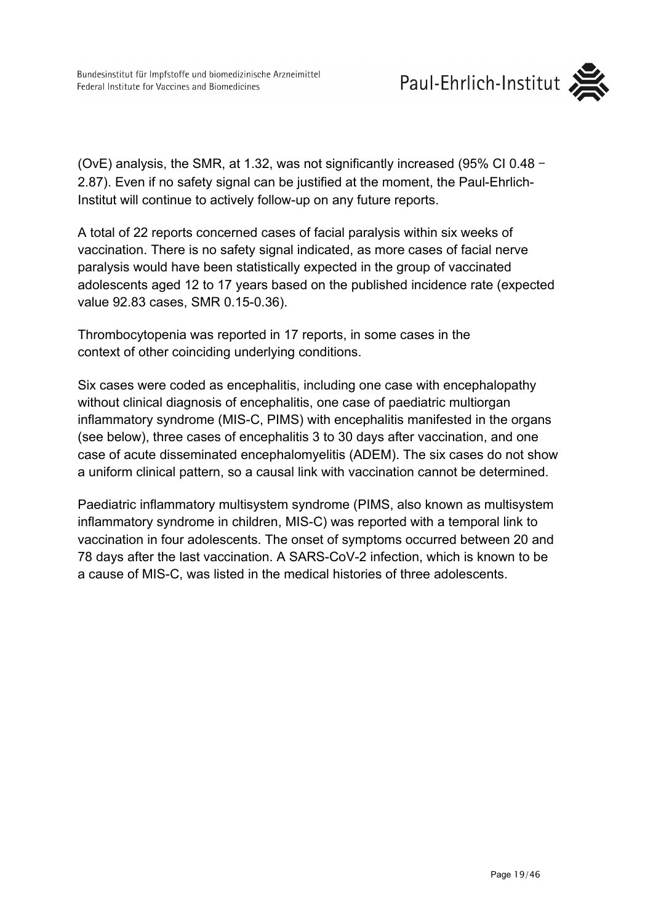

(OvE) analysis, the SMR, at 1.32, was not significantly increased (95% CI 0.48 - 2.87). Even if no safety signal can be justified at the moment, the Paul-Ehrlich-Institut will continue to actively follow-up on any future reports.

A total of 22 reports concerned cases of facial paralysis within six weeks of vaccination. There is no safety signal indicated, as more cases of facial nerve paralysis would have been statistically expected in the group of vaccinated adolescents aged 12 to 17 years based on the published incidence rate (expected value 92.83 cases, SMR 0.15-0.36).

Thrombocytopenia was reported in 17 reports, in some cases in the context of other coinciding underlying conditions.

Six cases were coded as encephalitis, including one case with encephalopathy without clinical diagnosis of encephalitis, one case of paediatric multiorgan inflammatory syndrome (MIS-C, PIMS) with encephalitis manifested in the organs (see below), three cases of encephalitis 3 to 30 days after vaccination, and one case of acute disseminated encephalomyelitis (ADEM). The six cases do not show a uniform clinical pattern, so a causal link with vaccination cannot be determined.

Paediatric inflammatory multisystem syndrome (PIMS, also known as multisystem inflammatory syndrome in children, MIS-C) was reported with a temporal link to vaccination in four adolescents. The onset of symptoms occurred between 20 and 78 days after the last vaccination. A SARS-CoV-2 infection, which is known to be a cause of MIS-C, was listed in the medical histories of three adolescents.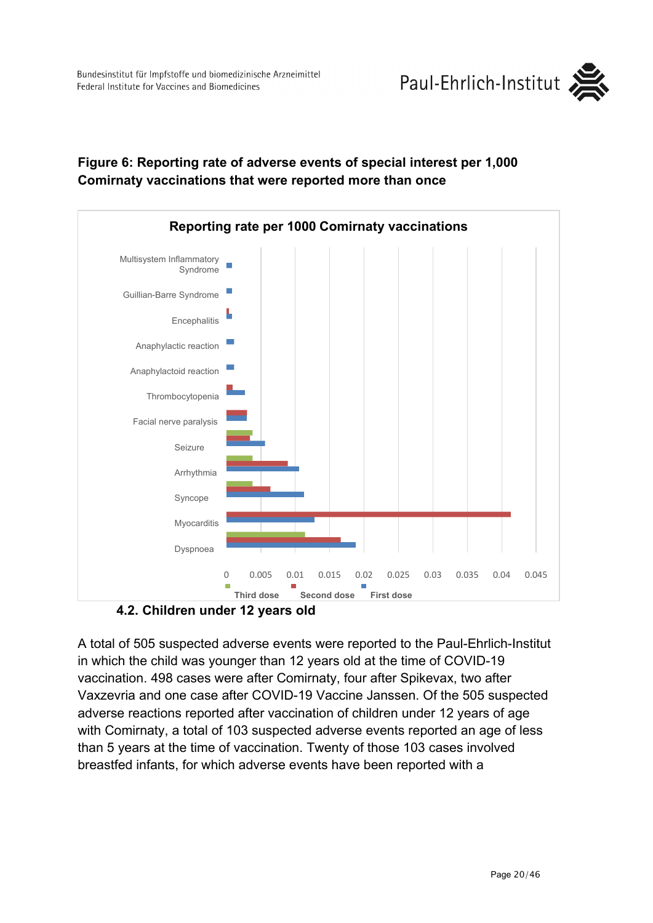

### **Figure 6: Reporting rate of adverse events of special interest per 1,000 Comirnaty vaccinations that were reported more than once**



**4.2. Children under 12 years old**

<span id="page-19-0"></span>A total of 505 suspected adverse events were reported to the Paul-Ehrlich-Institut in which the child was younger than 12 years old at the time of COVID-19 vaccination. 498 cases were after Comirnaty, four after Spikevax, two after Vaxzevria and one case after COVID-19 Vaccine Janssen. Of the 505 suspected adverse reactions reported after vaccination of children under 12 years of age with Comirnaty, a total of 103 suspected adverse events reported an age of less than 5 years at the time of vaccination. Twenty of those 103 cases involved breastfed infants, for which adverse events have been reported with a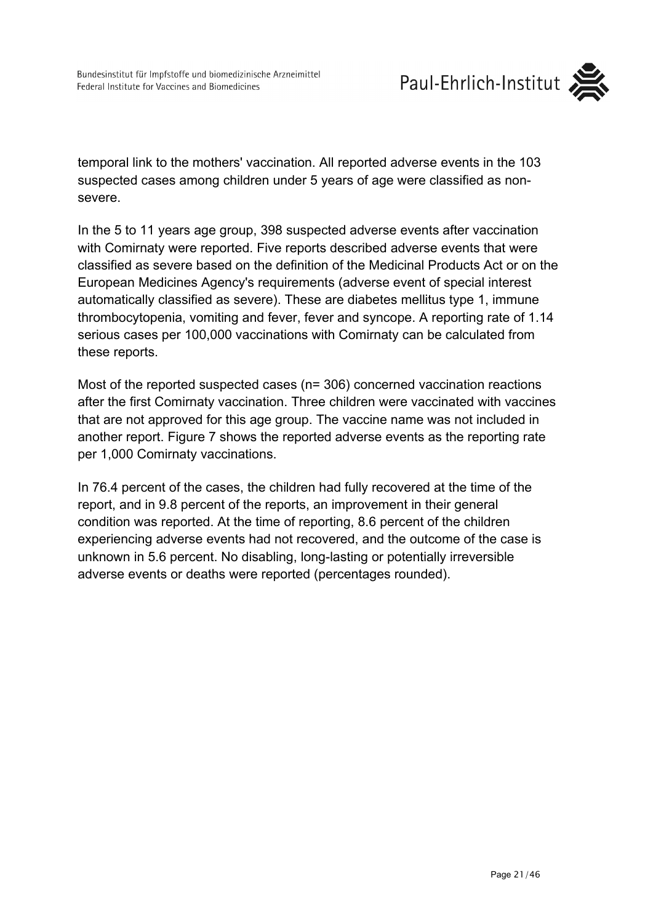

temporal link to the mothers' vaccination. All reported adverse events in the 103 suspected cases among children under 5 years of age were classified as nonsevere.

In the 5 to 11 years age group, 398 suspected adverse events after vaccination with Comirnaty were reported. Five reports described adverse events that were classified as severe based on the definition of the Medicinal Products Act or on the European Medicines Agency's requirements (adverse event of special interest automatically classified as severe). These are diabetes mellitus type 1, immune thrombocytopenia, vomiting and fever, fever and syncope. A reporting rate of 1.14 serious cases per 100,000 vaccinations with Comirnaty can be calculated from these reports.

Most of the reported suspected cases (n= 306) concerned vaccination reactions after the first Comirnaty vaccination. Three children were vaccinated with vaccines that are not approved for this age group. The vaccine name was not included in another report. Figure 7 shows the reported adverse events as the reporting rate per 1,000 Comirnaty vaccinations.

In 76.4 percent of the cases, the children had fully recovered at the time of the report, and in 9.8 percent of the reports, an improvement in their general condition was reported. At the time of reporting, 8.6 percent of the children experiencing adverse events had not recovered, and the outcome of the case is unknown in 5.6 percent. No disabling, long-lasting or potentially irreversible adverse events or deaths were reported (percentages rounded).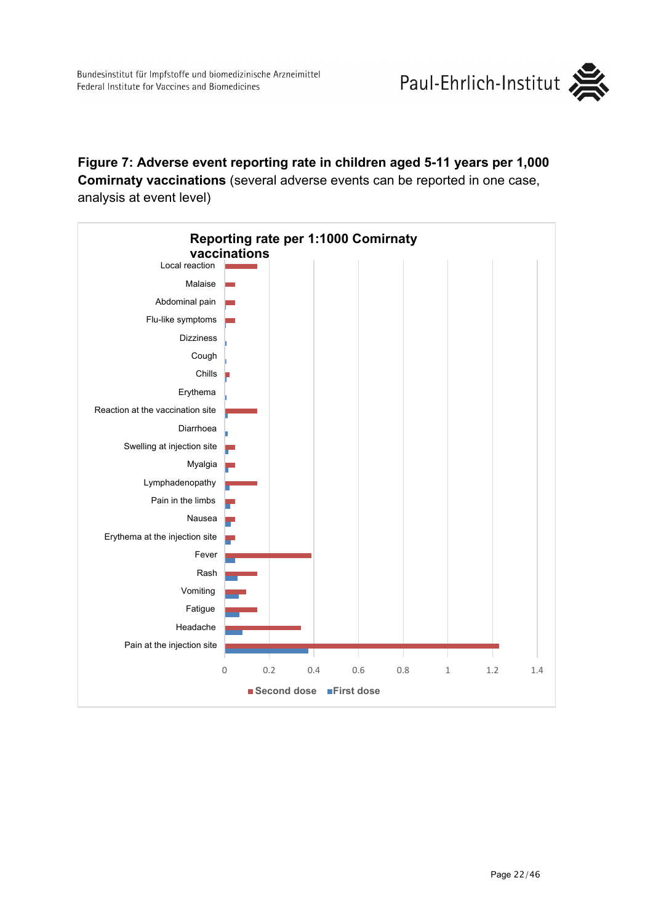

**Figure 7: Adverse event reporting rate in children aged 5-11 years per 1,000 Comirnaty vaccinations** (several adverse events can be reported in one case, analysis at event level)

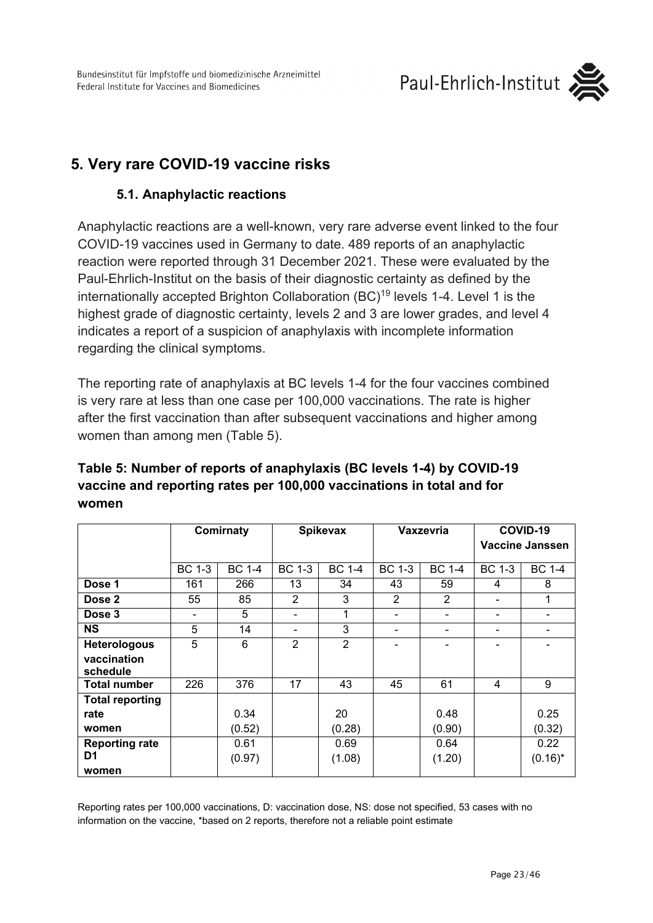# <span id="page-22-1"></span><span id="page-22-0"></span>**5. Very rare COVID-19 vaccine risks**

### **5.1. Anaphylactic reactions**

Anaphylactic reactions are a well-known, very rare adverse event linked to the four COVID-19 vaccines used in Germany to date. 489 reports of an anaphylactic reaction were reported through 31 December 2021. These were evaluated by the Paul-Ehrlich-Institut on the basis of their diagnostic certainty as defined by the internationally accepted Brighton Collaboration (BC)<sup>19</sup> levels 1-4. Level 1 is the highest grade of diagnostic certainty, levels 2 and 3 are lower grades, and level 4 indicates a report of a suspicion of anaphylaxis with incomplete information regarding the clinical symptoms.

The reporting rate of anaphylaxis at BC levels 1-4 for the four vaccines combined is very rare at less than one case per 100,000 vaccinations. The rate is higher after the first vaccination than after subsequent vaccinations and higher among women than among men (Table 5).

|                         | Comirnaty     |               | <b>Spikevax</b>          |                |               | Vaxzevria                | COVID-19<br><b>Vaccine Janssen</b> |               |
|-------------------------|---------------|---------------|--------------------------|----------------|---------------|--------------------------|------------------------------------|---------------|
|                         | <b>BC 1-3</b> | <b>BC 1-4</b> | <b>BC 1-3</b>            | <b>BC 1-4</b>  | <b>BC 1-3</b> | <b>BC 1-4</b>            | <b>BC 1-3</b>                      | <b>BC 1-4</b> |
| Dose 1                  | 161           | 266           | 13                       | 34             | 43            | 59                       | 4                                  | 8             |
| Dose 2                  | 55            | 85            | $\overline{2}$           | 3              | 2             | $\overline{2}$           |                                    | 1             |
| Dose 3                  | -             | 5             | $\overline{\phantom{a}}$ | 1              |               | $\overline{\phantom{a}}$ |                                    | -             |
| <b>NS</b>               | 5             | 14            | $\overline{\phantom{a}}$ | 3              |               | -                        |                                    |               |
| <b>Heterologous</b>     | 5             | 6             | $\overline{2}$           | $\overline{2}$ |               |                          |                                    |               |
| vaccination<br>schedule |               |               |                          |                |               |                          |                                    |               |
| <b>Total number</b>     | 226           | 376           | 17                       | 43             | 45            | 61                       | 4                                  | 9             |
| <b>Total reporting</b>  |               |               |                          |                |               |                          |                                    |               |
| rate                    |               | 0.34          |                          | 20             |               | 0.48                     |                                    | 0.25          |
| women                   |               | (0.52)        |                          | (0.28)         |               | (0.90)                   |                                    | (0.32)        |
| <b>Reporting rate</b>   |               | 0.61          |                          | 0.69           |               | 0.64                     |                                    | 0.22          |
| D <sub>1</sub>          |               | (0.97)        |                          | (1.08)         |               | (1.20)                   |                                    | $(0.16)^*$    |
| women                   |               |               |                          |                |               |                          |                                    |               |

## **Table 5: Number of reports of anaphylaxis (BC levels 1-4) by COVID-19 vaccine and reporting rates per 100,000 vaccinations in total and for women**

Reporting rates per 100,000 vaccinations, D: vaccination dose, NS: dose not specified, 53 cases with no information on the vaccine, \*based on 2 reports, therefore not a reliable point estimate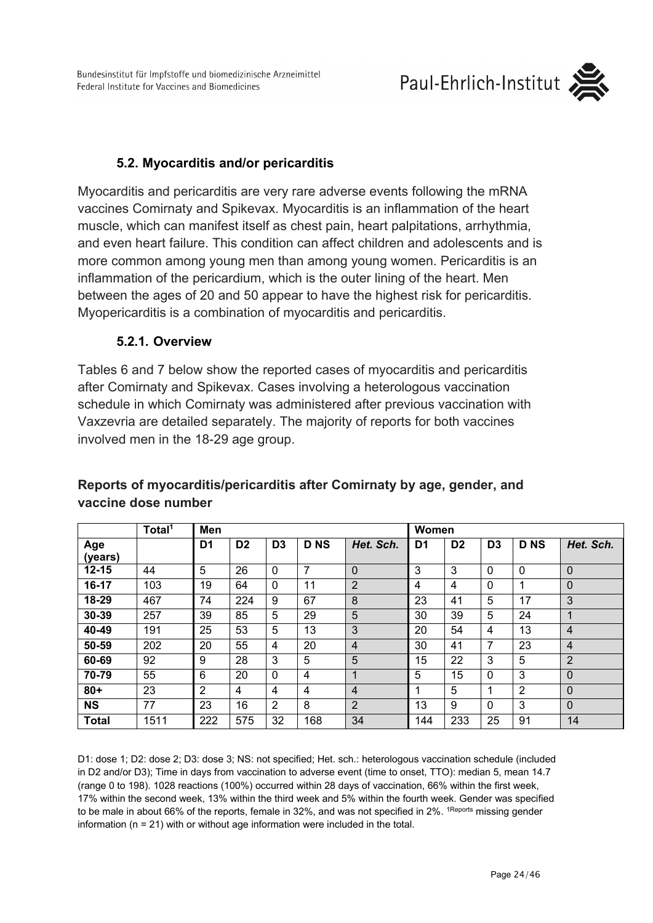Bundesinstitut für Impfstoffe und biomedizinische Arzneimittel Federal Institute for Vaccines and Biomedicines



### **5.2. Myocarditis and/or pericarditis**

<span id="page-23-0"></span>Myocarditis and pericarditis are very rare adverse events following the mRNA vaccines Comirnaty and Spikevax. Myocarditis is an inflammation of the heart muscle, which can manifest itself as chest pain, heart palpitations, arrhythmia, and even heart failure. This condition can affect children and adolescents and is more common among young men than among young women. Pericarditis is an inflammation of the pericardium, which is the outer lining of the heart. Men between the ages of 20 and 50 appear to have the highest risk for pericarditis. Myopericarditis is a combination of myocarditis and pericarditis.

#### **5.2.1. Overview**

<span id="page-23-1"></span>Tables 6 and 7 below show the reported cases of myocarditis and pericarditis after Comirnaty and Spikevax. Cases involving a heterologous vaccination schedule in which Comirnaty was administered after previous vaccination with Vaxzevria are detailed separately. The majority of reports for both vaccines involved men in the 18-29 age group.

|                | Total <sup>1</sup> | Men            |                |                |            |                | Women          |                |                |             |                |
|----------------|--------------------|----------------|----------------|----------------|------------|----------------|----------------|----------------|----------------|-------------|----------------|
| Age<br>(years) |                    | D1             | D <sub>2</sub> | D <sub>3</sub> | <b>DNS</b> | Het. Sch.      | D <sub>1</sub> | D <sub>2</sub> | D <sub>3</sub> | <b>DNS</b>  | Het. Sch.      |
| $12 - 15$      | 44                 | 5              | 26             | $\mathbf 0$    | 7          | $\overline{0}$ | 3              | 3              | $\mathbf{0}$   | $\mathbf 0$ | $\Omega$       |
| $16-17$        | 103                | 19             | 64             | $\mathbf{0}$   | 11         | $\overline{2}$ | 4              | 4              | 0              | 1           | $\Omega$       |
| 18-29          | 467                | 74             | 224            | 9              | 67         | 8              | 23             | 41             | 5              | 17          | 3              |
| 30-39          | 257                | 39             | 85             | 5              | 29         | 5              | 30             | 39             | 5              | 24          |                |
| 40-49          | 191                | 25             | 53             | 5              | 13         | 3              | 20             | 54             | 4              | 13          | $\overline{4}$ |
| 50-59          | 202                | 20             | 55             | 4              | 20         | $\overline{4}$ | 30             | 41             | 7              | 23          | $\overline{4}$ |
| 60-69          | 92                 | 9              | 28             | 3              | 5          | 5              | 15             | 22             | 3              | 5           | $\overline{2}$ |
| 70-79          | 55                 | 6              | 20             | $\mathbf{0}$   | 4          | $\mathbf{1}$   | 5              | 15             | $\mathbf{0}$   | 3           | $\Omega$       |
| $80 +$         | 23                 | $\overline{2}$ | 4              | 4              | 4          | $\overline{4}$ | 1              | 5              | 1              | 2           | $\Omega$       |
| <b>NS</b>      | 77                 | 23             | 16             | 2              | 8          | $\overline{2}$ | 13             | 9              | $\mathbf{0}$   | 3           | $\Omega$       |
| <b>Total</b>   | 1511               | 222            | 575            | 32             | 168        | 34             | 144            | 233            | 25             | 91          | 14             |

### **Reports of myocarditis/pericarditis after Comirnaty by age, gender, and vaccine dose number**

D1: dose 1; D2: dose 2; D3: dose 3; NS: not specified; Het. sch.: heterologous vaccination schedule (included in D2 and/or D3); Time in days from vaccination to adverse event (time to onset, TTO): median 5, mean 14.7 (range 0 to 198). 1028 reactions (100%) occurred within 28 days of vaccination, 66% within the first week, 17% within the second week, 13% within the third week and 5% within the fourth week. Gender was specified to be male in about 66% of the reports, female in 32%, and was not specified in 2%. <sup>1Reports</sup> missing gender information (n = 21) with or without age information were included in the total.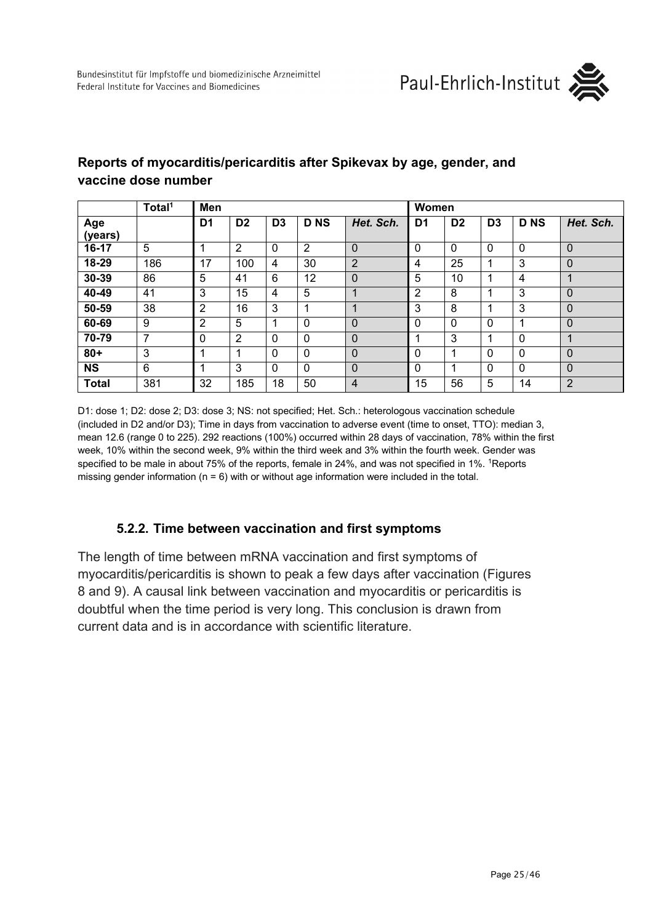

### **Reports of myocarditis/pericarditis after Spikevax by age, gender, and vaccine dose number**

|                | Total <sup>1</sup> | Men            |                |                |            |                | Women       |                |                |            |                |
|----------------|--------------------|----------------|----------------|----------------|------------|----------------|-------------|----------------|----------------|------------|----------------|
| Age<br>(years) |                    | D <sub>1</sub> | D <sub>2</sub> | D <sub>3</sub> | <b>DNS</b> | Het. Sch.      | D1          | D <sub>2</sub> | D <sub>3</sub> | <b>DNS</b> | Het. Sch.      |
| 16-17          | 5                  |                | 2              | 0              | 2          | 0              | $\mathbf 0$ | $\mathbf 0$    | $\Omega$       | 0          | $\Omega$       |
| 18-29          | 186                | 17             | 100            | 4              | 30         | $\overline{2}$ | 4           | 25             | и              | 3          | $\Omega$       |
| 30-39          | 86                 | 5              | 41             | 6              | 12         | 0              | 5           | 10             | и              | 4          | 4              |
| 40-49          | 41                 | 3              | 15             | 4              | 5          |                | 2           | 8              |                | 3          | $\mathbf 0$    |
| 50-59          | 38                 | $\overline{2}$ | 16             | 3              | 1          |                | 3           | 8              |                | 3          | $\mathbf 0$    |
| 60-69          | 9                  | 2              | 5              | 1              | $\Omega$   | 0              | $\Omega$    | $\Omega$       | $\Omega$       |            | $\mathbf{0}$   |
| 70-79          | 7                  | 0              | 2              | 0              | $\Omega$   | 0              |             | 3              |                | $\Omega$   | 4              |
| $80 +$         | 3                  |                |                | 0              | $\Omega$   | 0              | $\mathbf 0$ |                | $\Omega$       | $\Omega$   | $\mathbf 0$    |
| <b>NS</b>      | 6                  |                | 3              | 0              | $\Omega$   | 0              | $\mathbf 0$ |                | $\Omega$       | $\Omega$   | $\mathbf 0$    |
| <b>Total</b>   | 381                | 32             | 185            | 18             | 50         | $\overline{4}$ | 15          | 56             | 5              | 14         | $\overline{2}$ |

D1: dose 1; D2: dose 2; D3: dose 3; NS: not specified; Het. Sch.: heterologous vaccination schedule (included in D2 and/or D3); Time in days from vaccination to adverse event (time to onset, TTO): median 3, mean 12.6 (range 0 to 225). 292 reactions (100%) occurred within 28 days of vaccination, 78% within the first week, 10% within the second week, 9% within the third week and 3% within the fourth week. Gender was specified to be male in about 75% of the reports, female in 24%, and was not specified in 1%. <sup>1</sup>Reports missing gender information ( $n = 6$ ) with or without age information were included in the total.

### **5.2.2. Time between vaccination and first symptoms**

<span id="page-24-0"></span>The length of time between mRNA vaccination and first symptoms of myocarditis/pericarditis is shown to peak a few days after vaccination (Figures 8 and 9). A causal link between vaccination and myocarditis or pericarditis is doubtful when the time period is very long. This conclusion is drawn from current data and is in accordance with scientific literature.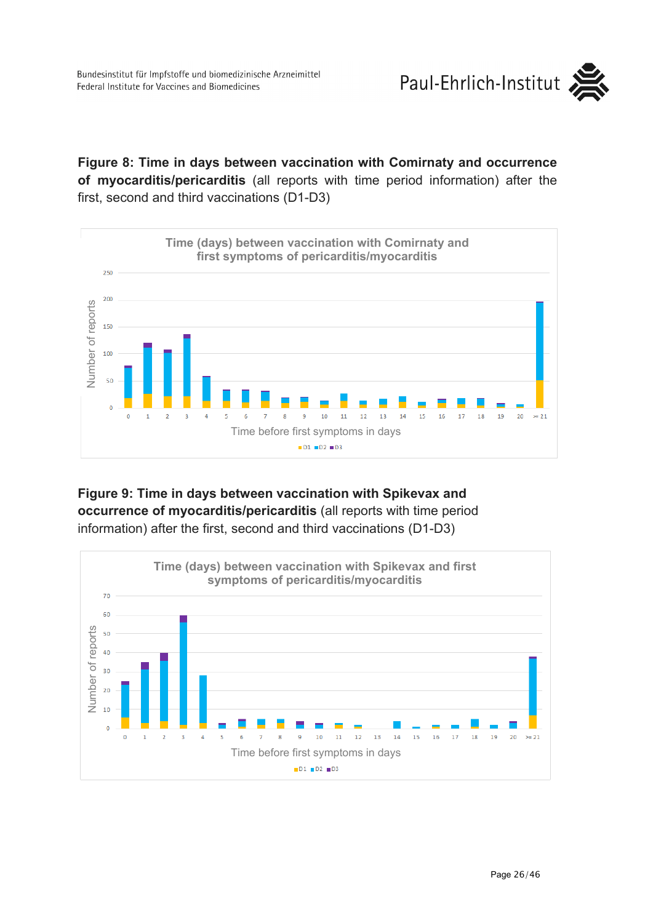**Figure 8: Time in days between vaccination with Comirnaty and occurrence of myocarditis/pericarditis** (all reports with time period information) after the first, second and third vaccinations (D1-D3)



### **Figure 9: Time in days between vaccination with Spikevax and occurrence of myocarditis/pericarditis** (all reports with time period information) after the first, second and third vaccinations (D1-D3)

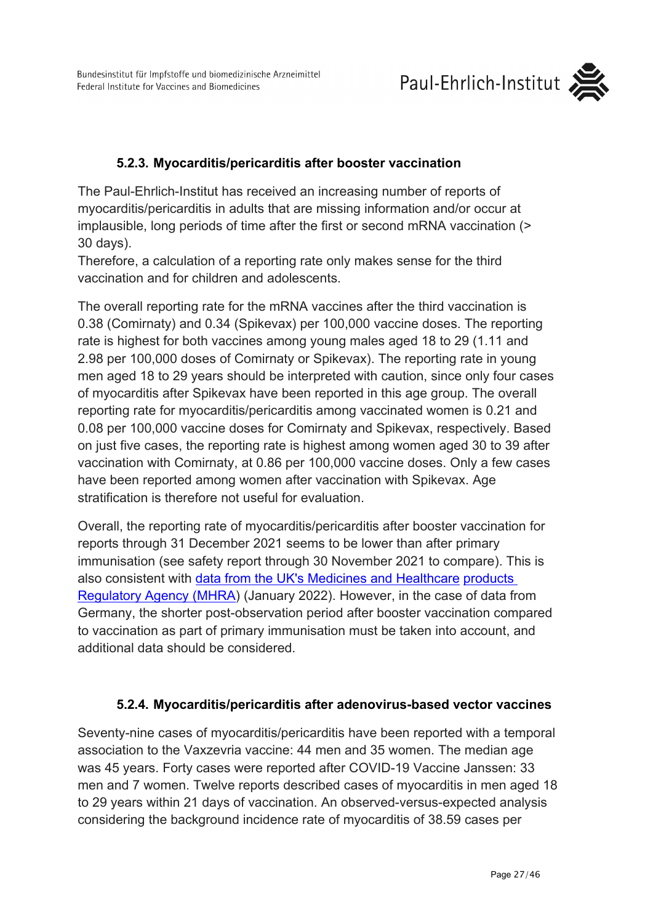# Paul-Ehrlich-Institut



## **5.2.3. Myocarditis/pericarditis after booster vaccination**

<span id="page-26-0"></span>The Paul-Ehrlich-Institut has received an increasing number of reports of myocarditis/pericarditis in adults that are missing information and/or occur at implausible, long periods of time after the first or second mRNA vaccination (> 30 days).

Therefore, a calculation of a reporting rate only makes sense for the third vaccination and for children and adolescents.

The overall reporting rate for the mRNA vaccines after the third vaccination is 0.38 (Comirnaty) and 0.34 (Spikevax) per 100,000 vaccine doses. The reporting rate is highest for both vaccines among young males aged 18 to 29 (1.11 and 2.98 per 100,000 doses of Comirnaty or Spikevax). The reporting rate in young men aged 18 to 29 years should be interpreted with caution, since only four cases of myocarditis after Spikevax have been reported in this age group. The overall reporting rate for myocarditis/pericarditis among vaccinated women is 0.21 and 0.08 per 100,000 vaccine doses for Comirnaty and Spikevax, respectively. Based on just five cases, the reporting rate is highest among women aged 30 to 39 after vaccination with Comirnaty, at 0.86 per 100,000 vaccine doses. Only a few cases have been reported among women after vaccination with Spikevax. Age stratification is therefore not useful for evaluation.

Overall, the reporting rate of myocarditis/pericarditis after booster vaccination for reports through 31 December 2021 seems to be lower than after primary immunisation (see safety report through 30 November 2021 to compare). This is also consistent with [data from the UK's Medicines and Healthcare](https://www.gov.uk/government/publications/coronavirus-covid-19-vaccine-adverse-reactions/coronavirus-vaccine-summary-of-yellow-card-reporting) [products](https://www.gov.uk/government/publications/coronavirus-covid-19-vaccine-adverse-reactions/coronavirus-vaccine-summary-of-yellow-card-reporting)  [Regulatory Agency \(MHRA\)](https://www.gov.uk/government/publications/coronavirus-covid-19-vaccine-adverse-reactions/coronavirus-vaccine-summary-of-yellow-card-reporting) (January 2022). However, in the case of data from Germany, the shorter post-observation period after booster vaccination compared to vaccination as part of primary immunisation must be taken into account, and additional data should be considered.

### **5.2.4. Myocarditis/pericarditis after adenovirus-based vector vaccines**

<span id="page-26-1"></span>Seventy-nine cases of myocarditis/pericarditis have been reported with a temporal association to the Vaxzevria vaccine: 44 men and 35 women. The median age was 45 years. Forty cases were reported after COVID-19 Vaccine Janssen: 33 men and 7 women. Twelve reports described cases of myocarditis in men aged 18 to 29 years within 21 days of vaccination. An observed-versus-expected analysis considering the background incidence rate of myocarditis of 38.59 cases per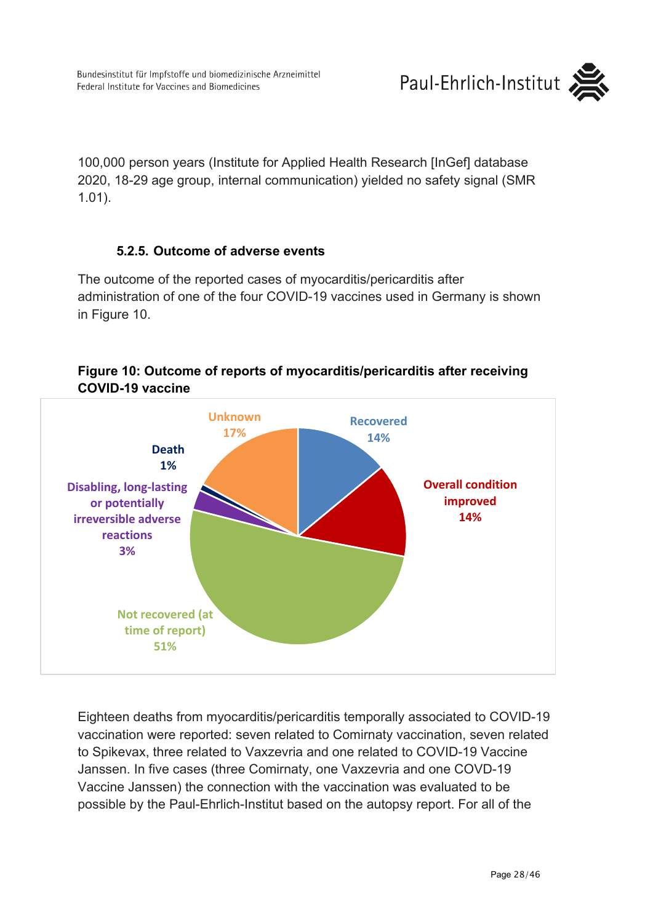100,000 person years (Institute for Applied Health Research [InGef] database 2020, 18-29 age group, internal communication) yielded no safety signal (SMR 1.01).

### **5.2.5. Outcome of adverse events**

<span id="page-27-0"></span>The outcome of the reported cases of myocarditis/pericarditis after administration of one of the four COVID-19 vaccines used in Germany is shown in Figure 10.



### **Figure 10: Outcome of reports of myocarditis/pericarditis after receiving COVID-19 vaccine**

Eighteen deaths from myocarditis/pericarditis temporally associated to COVID-19 vaccination were reported: seven related to Comirnaty vaccination, seven related to Spikevax, three related to Vaxzevria and one related to COVID-19 Vaccine Janssen. In five cases (three Comirnaty, one Vaxzevria and one COVD-19 Vaccine Janssen) the connection with the vaccination was evaluated to be possible by the Paul-Ehrlich-Institut based on the autopsy report. For all of the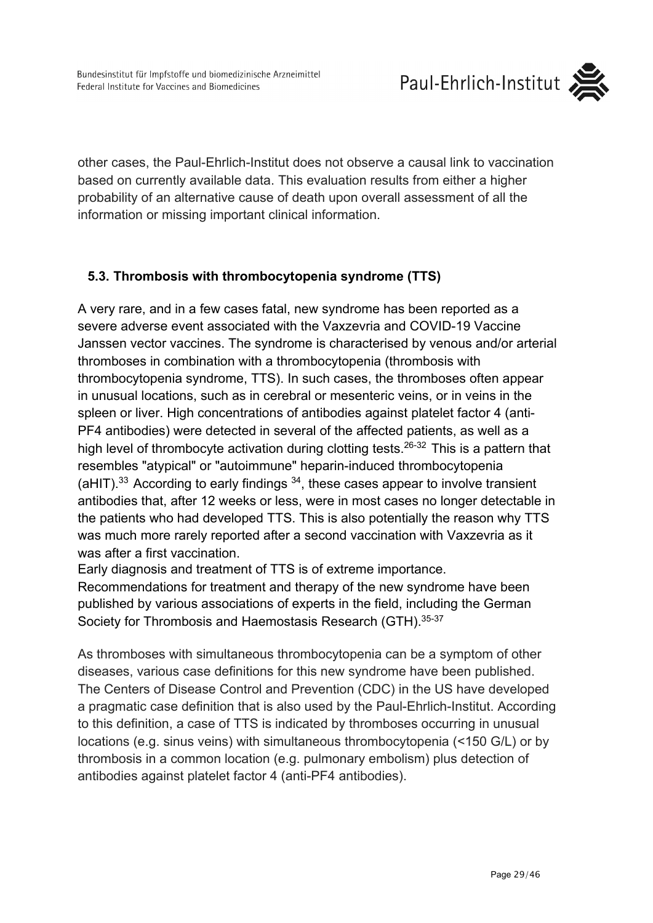

other cases, the Paul-Ehrlich-Institut does not observe a causal link to vaccination based on currently available data. This evaluation results from either a higher probability of an alternative cause of death upon overall assessment of all the information or missing important clinical information.

## <span id="page-28-0"></span>**5.3. Thrombosis with thrombocytopenia syndrome (TTS)**

A very rare, and in a few cases fatal, new syndrome has been reported as a severe adverse event associated with the Vaxzevria and COVID-19 Vaccine Janssen vector vaccines. The syndrome is characterised by venous and/or arterial thromboses in combination with a thrombocytopenia (thrombosis with thrombocytopenia syndrome, TTS). In such cases, the thromboses often appear in unusual locations, such as in cerebral or mesenteric veins, or in veins in the spleen or liver. High concentrations of antibodies against platelet factor 4 (anti-PF4 antibodies) were detected in several of the affected patients, as well as a high level of thrombocyte activation during clotting tests.<sup>26-32</sup> This is a pattern that resembles "atypical" or "autoimmune" heparin-induced thrombocytopenia  $($ aHIT).<sup>33</sup> According to early findings  $34$ , these cases appear to involve transient antibodies that, after 12 weeks or less, were in most cases no longer detectable in the patients who had developed TTS. This is also potentially the reason why TTS was much more rarely reported after a second vaccination with Vaxzevria as it was after a first vaccination.

Early diagnosis and treatment of TTS is of extreme importance.

Recommendations for treatment and therapy of the new syndrome have been published by various associations of experts in the field, including the German Society for Thrombosis and Haemostasis Research (GTH).35-37

As thromboses with simultaneous thrombocytopenia can be a symptom of other diseases, various case definitions for this new syndrome have been published. The Centers of Disease Control and Prevention (CDC) in the US have developed a pragmatic case definition that is also used by the Paul-Ehrlich-Institut. According to this definition, a case of TTS is indicated by thromboses occurring in unusual locations (e.g. sinus veins) with simultaneous thrombocytopenia (<150 G/L) or by thrombosis in a common location (e.g. pulmonary embolism) plus detection of antibodies against platelet factor 4 (anti-PF4 antibodies).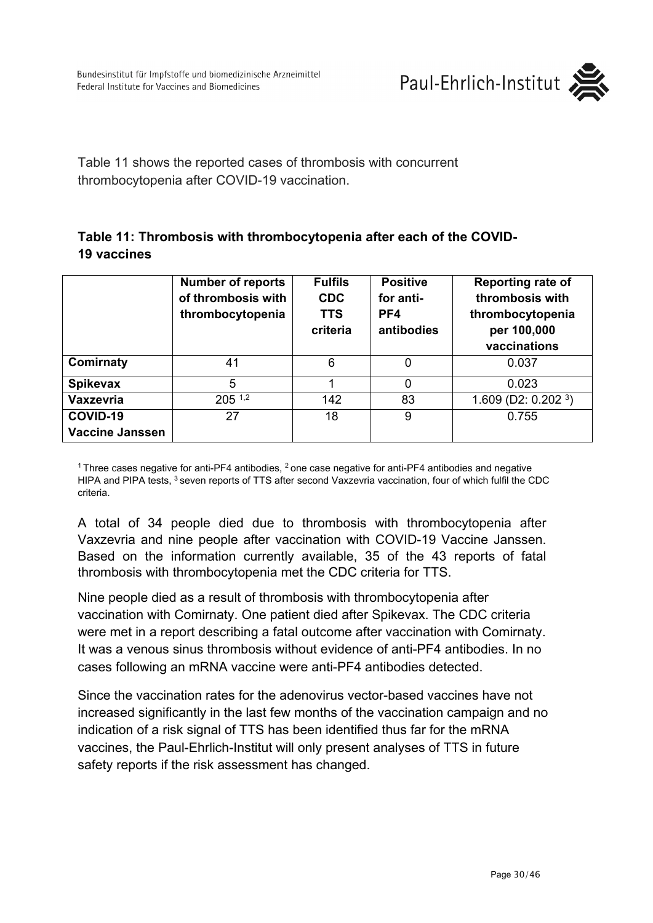

Table 11 shows the reported cases of thrombosis with concurrent thrombocytopenia after COVID-19 vaccination.

### **Table 11: Thrombosis with thrombocytopenia after each of the COVID-19 vaccines**

|                        | <b>Number of reports</b><br>of thrombosis with<br>thrombocytopenia | <b>Fulfils</b><br><b>CDC</b><br><b>TTS</b><br>criteria | <b>Positive</b><br>for anti-<br>PF4<br>antibodies | <b>Reporting rate of</b><br>thrombosis with<br>thrombocytopenia<br>per 100,000<br>vaccinations |
|------------------------|--------------------------------------------------------------------|--------------------------------------------------------|---------------------------------------------------|------------------------------------------------------------------------------------------------|
| Comirnaty              | 41                                                                 | 6                                                      |                                                   | 0.037                                                                                          |
| <b>Spikevax</b>        | 5                                                                  |                                                        | $\Omega$                                          | 0.023                                                                                          |
| Vaxzevria              | $205^{1,2}$                                                        | 142                                                    | 83                                                | 1.609 (D2: 0.202 $3$ )                                                                         |
| COVID-19               | 27                                                                 | 18                                                     | 9                                                 | 0.755                                                                                          |
| <b>Vaccine Janssen</b> |                                                                    |                                                        |                                                   |                                                                                                |

<sup>1</sup> Three cases negative for anti-PF4 antibodies,  $^2$  one case negative for anti-PF4 antibodies and negative HIPA and PIPA tests, 3 seven reports of TTS after second Vaxzevria vaccination, four of which fulfil the CDC criteria.

A total of 34 people died due to thrombosis with thrombocytopenia after Vaxzevria and nine people after vaccination with COVID-19 Vaccine Janssen. Based on the information currently available, 35 of the 43 reports of fatal thrombosis with thrombocytopenia met the CDC criteria for TTS.

Nine people died as a result of thrombosis with thrombocytopenia after vaccination with Comirnaty. One patient died after Spikevax. The CDC criteria were met in a report describing a fatal outcome after vaccination with Comirnaty. It was a venous sinus thrombosis without evidence of anti-PF4 antibodies. In no cases following an mRNA vaccine were anti-PF4 antibodies detected.

Since the vaccination rates for the adenovirus vector-based vaccines have not increased significantly in the last few months of the vaccination campaign and no indication of a risk signal of TTS has been identified thus far for the mRNA vaccines, the Paul-Ehrlich-Institut will only present analyses of TTS in future safety reports if the risk assessment has changed.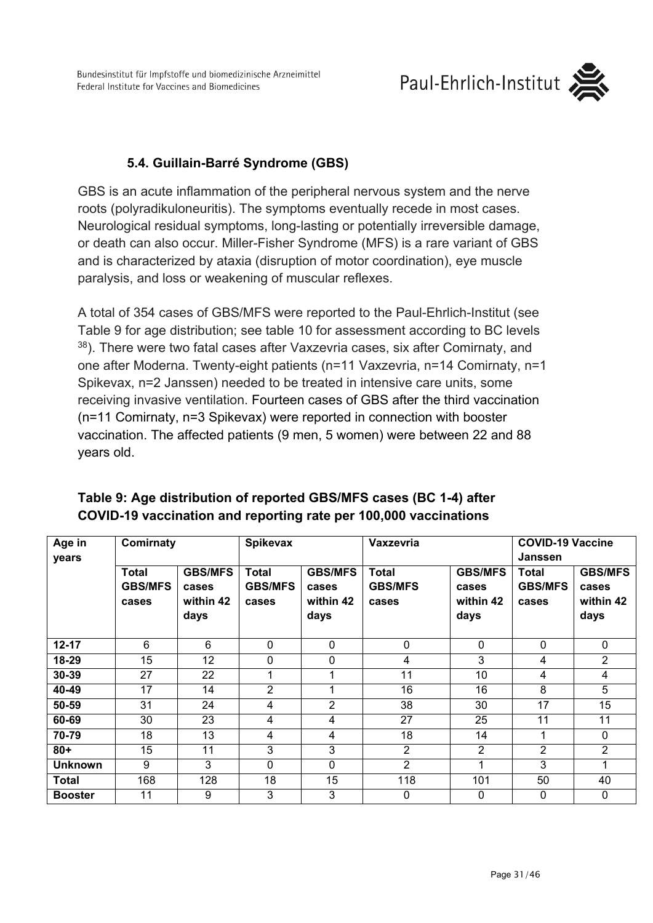Bundesinstitut für Impfstoffe und biomedizinische Arzneimittel Federal Institute for Vaccines and Biomedicines

# Paul-Ehrlich-Institut



### **5.4. Guillain-Barré Syndrome (GBS)**

<span id="page-30-0"></span>GBS is an acute inflammation of the peripheral nervous system and the nerve roots (polyradikuloneuritis). The symptoms eventually recede in most cases. Neurological residual symptoms, long-lasting or potentially irreversible damage, or death can also occur. Miller-Fisher Syndrome (MFS) is a rare variant of GBS and is characterized by ataxia (disruption of motor coordination), eye muscle paralysis, and loss or weakening of muscular reflexes.

A total of 354 cases of GBS/MFS were reported to the Paul-Ehrlich-Institut (see Table 9 for age distribution; see table 10 for assessment according to BC levels 38). There were two fatal cases after Vaxzevria cases, six after Comirnaty, and one after Moderna. Twenty-eight patients (n=11 Vaxzevria, n=14 Comirnaty, n=1 Spikevax, n=2 Janssen) needed to be treated in intensive care units, some receiving invasive ventilation. Fourteen cases of GBS after the third vaccination (n=11 Comirnaty, n=3 Spikevax) were reported in connection with booster vaccination. The affected patients (9 men, 5 women) were between 22 and 88 years old.

| Age in         | Comirnaty      |                | Spikevax       |                | <b>Vaxzevria</b> |                | <b>COVID-19 Vaccine</b> |                |  |
|----------------|----------------|----------------|----------------|----------------|------------------|----------------|-------------------------|----------------|--|
| years          |                |                |                |                |                  |                | <b>Janssen</b>          |                |  |
|                | <b>Total</b>   | <b>GBS/MFS</b> | Total          | <b>GBS/MFS</b> | <b>Total</b>     | <b>GBS/MFS</b> | Total                   | <b>GBS/MFS</b> |  |
|                | <b>GBS/MFS</b> | cases          | <b>GBS/MFS</b> | cases          | <b>GBS/MFS</b>   | cases          | <b>GBS/MFS</b>          | cases          |  |
|                | cases          | within 42      | cases          | within 42      | cases            | within 42      | cases                   | within 42      |  |
|                |                | days           |                | days           |                  | days           |                         | days           |  |
|                |                |                |                |                |                  |                |                         |                |  |
| $12 - 17$      | 6              | 6              | $\mathbf 0$    | 0              | $\mathbf 0$      | 0              | $\Omega$                | $\mathbf{0}$   |  |
| 18-29          | 15             | 12             | $\mathbf 0$    | 0              | 4                | 3              | 4                       | 2              |  |
| 30-39          | 27             | 22             | 4              |                | 11               | 10             | 4                       | 4              |  |
| 40-49          | 17             | 14             | $\overline{2}$ |                | 16               | 16             | 8                       | 5              |  |
| 50-59          | 31             | 24             | 4              | $\overline{2}$ | 38               | 30             | 17                      | 15             |  |
| 60-69          | 30             | 23             | 4              | 4              | 27               | 25             | 11                      | 11             |  |
| 70-79          | 18             | 13             | 4              | 4              | 18               | 14             |                         | $\mathbf{0}$   |  |
| $80 +$         | 15             | 11             | 3              | 3              | 2                | 2              | 2                       | $\overline{2}$ |  |
| <b>Unknown</b> | 9              | 3              | $\mathbf{0}$   | 0              | 2                |                | 3                       | 1              |  |
| <b>Total</b>   | 168            | 128            | 18             | 15             | 118              | 101            | 50                      | 40             |  |
| <b>Booster</b> | 11             | 9              | 3              | 3              | 0                | 0              | $\Omega$                | 0              |  |

### **Table 9: Age distribution of reported GBS/MFS cases (BC 1-4) after COVID-19 vaccination and reporting rate per 100,000 vaccinations**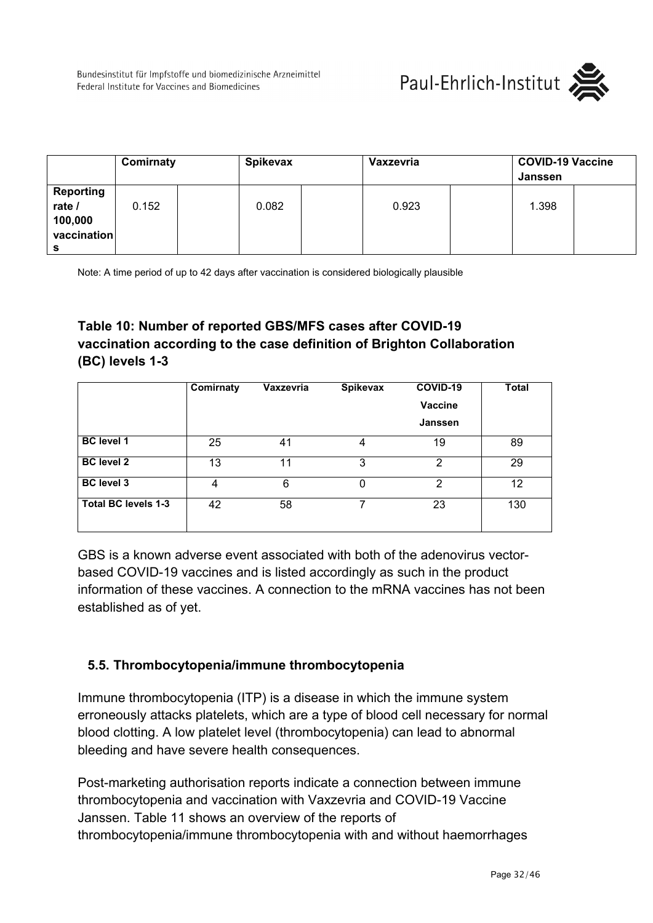

|                                               | Comirnaty |       | <b>Spikevax</b> | Vaxzevria |  | <b>COVID-19 Vaccine</b><br>Janssen |  |
|-----------------------------------------------|-----------|-------|-----------------|-----------|--|------------------------------------|--|
| Reporting<br>rate /<br>100,000<br>vaccination | 0.152     | 0.082 |                 | 0.923     |  | 1.398                              |  |

Note: A time period of up to 42 days after vaccination is considered biologically plausible

## **Table 10: Number of reported GBS/MFS cases after COVID-19 vaccination according to the case definition of Brighton Collaboration (BC) levels 1-3**

|                            | Comirnaty | Vaxzevria | <b>Spikevax</b> | COVID-19<br><b>Vaccine</b><br><b>Janssen</b> | <b>Total</b>      |
|----------------------------|-----------|-----------|-----------------|----------------------------------------------|-------------------|
| <b>BC</b> level 1          | 25        | 41        | 4               | 19                                           | 89                |
| <b>BC</b> level 2          | 13        | 11        | 3               | $\mathcal{P}$                                | 29                |
| <b>BC</b> level 3          | 4         | 6         | O               | $\mathcal{P}$                                | $12 \overline{ }$ |
| <b>Total BC levels 1-3</b> | 42        | 58        |                 | 23                                           | 130               |

GBS is a known adverse event associated with both of the adenovirus vectorbased COVID-19 vaccines and is listed accordingly as such in the product information of these vaccines. A connection to the mRNA vaccines has not been established as of yet.

### <span id="page-31-0"></span>**5.5. Thrombocytopenia/immune thrombocytopenia**

Immune thrombocytopenia (ITP) is a disease in which the immune system erroneously attacks platelets, which are a type of blood cell necessary for normal blood clotting. A low platelet level (thrombocytopenia) can lead to abnormal bleeding and have severe health consequences.

Post-marketing authorisation reports indicate a connection between immune thrombocytopenia and vaccination with Vaxzevria and COVID-19 Vaccine Janssen. Table 11 shows an overview of the reports of thrombocytopenia/immune thrombocytopenia with and without haemorrhages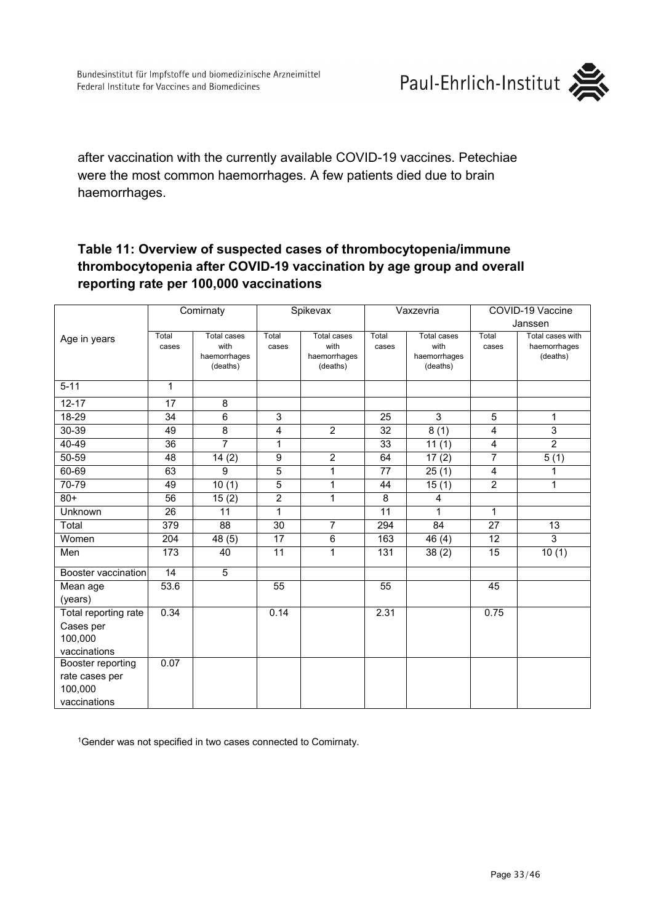

after vaccination with the currently available COVID-19 vaccines. Petechiae were the most common haemorrhages. A few patients died due to brain haemorrhages.

### **Table 11: Overview of suspected cases of thrombocytopenia/immune thrombocytopenia after COVID-19 vaccination by age group and overall reporting rate per 100,000 vaccinations**

|                      | Comirnaty       |                            | Spikevax       |                            | Vaxzevria      |                            | COVID-19 Vaccine |                                  |
|----------------------|-----------------|----------------------------|----------------|----------------------------|----------------|----------------------------|------------------|----------------------------------|
| Age in years         |                 |                            |                |                            |                |                            | Janssen          |                                  |
|                      | Total<br>cases  | <b>Total cases</b><br>with | Total<br>cases | <b>Total cases</b><br>with | Total<br>cases | <b>Total cases</b><br>with | Total<br>cases   | Total cases with<br>haemorrhages |
|                      |                 | haemorrhages               |                | haemorrhages               |                | haemorrhages               |                  | (deaths)                         |
|                      |                 | (deaths)                   |                | (deaths)                   |                | (deaths)                   |                  |                                  |
| $5 - 11$             | 1               |                            |                |                            |                |                            |                  |                                  |
| $12 - 17$            | 17              | 8                          |                |                            |                |                            |                  |                                  |
| 18-29                | 34              | 6                          | 3              |                            | 25             | 3                          | 5                | $\mathbf{1}$                     |
| 30-39                | 49              | 8                          | 4              | 2                          | 32             | 8(1)                       | 4                | 3                                |
| $40 - 49$            | $\overline{36}$ | $\overline{7}$             | $\mathbf{1}$   |                            | 33             | 11(1)                      | 4                | $\overline{2}$                   |
| 50-59                | 48              | 14(2)                      | 9              | $\overline{2}$             | 64             | 17(2)                      | $\overline{7}$   | 5(1)                             |
| 60-69                | 63              | 9                          | $\overline{5}$ | 1                          | 77             | $\overline{2}5(1)$         | 4                | 1                                |
| 70-79                | 49              | 10(1)                      | $\overline{5}$ | 1                          | 44             | 15(1)                      | $\overline{2}$   | $\mathbf{1}$                     |
| $80+$                | 56              | 15(2)                      | $\overline{2}$ | 1                          | $\overline{8}$ | 4                          |                  |                                  |
| Unknown              | 26              | 11                         | $\mathbf{1}$   |                            | 11             | 1                          | 1                |                                  |
| Total                | 379             | 88                         | 30             | $\overline{7}$             | 294            | 84                         | 27               | 13                               |
| Women                | 204             | 48 (5)                     | 17             | 6                          | 163            | 46(4)                      | 12               | 3                                |
| Men                  | 173             | 40                         | 11             | 1                          | 131            | 38(2)                      | 15               | 10(1)                            |
| Booster vaccination  | 14              | 5                          |                |                            |                |                            |                  |                                  |
| Mean age             | 53.6            |                            | 55             |                            | 55             |                            | 45               |                                  |
| (years)              |                 |                            |                |                            |                |                            |                  |                                  |
| Total reporting rate | 0.34            |                            | 0.14           |                            | 2.31           |                            | 0.75             |                                  |
| Cases per            |                 |                            |                |                            |                |                            |                  |                                  |
| 100,000              |                 |                            |                |                            |                |                            |                  |                                  |
| vaccinations         |                 |                            |                |                            |                |                            |                  |                                  |
| Booster reporting    | 0.07            |                            |                |                            |                |                            |                  |                                  |
| rate cases per       |                 |                            |                |                            |                |                            |                  |                                  |
| 100,000              |                 |                            |                |                            |                |                            |                  |                                  |
| vaccinations         |                 |                            |                |                            |                |                            |                  |                                  |

<sup>1</sup>Gender was not specified in two cases connected to Comirnaty.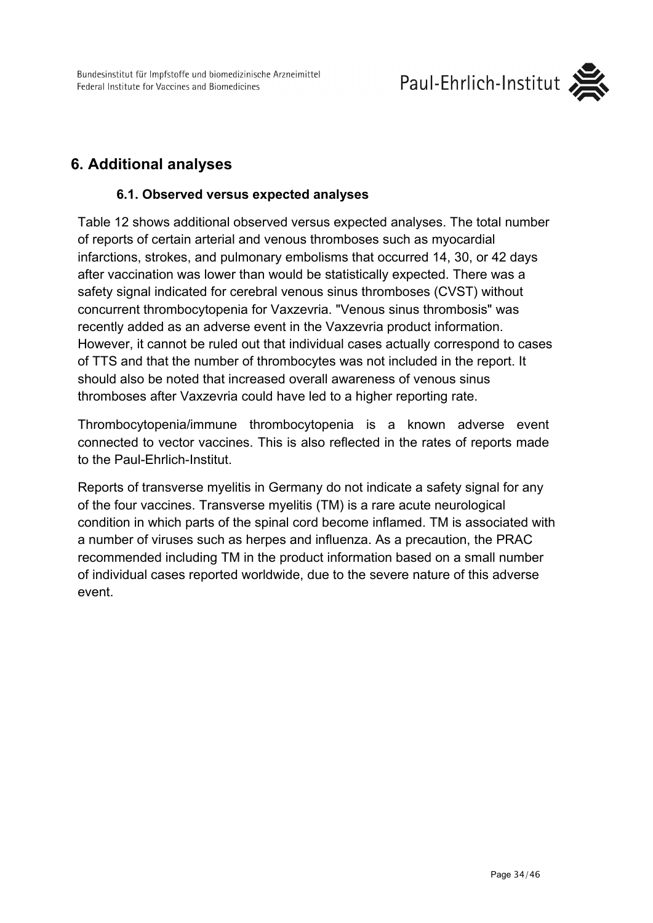Bundesinstitut für Impfstoffe und biomedizinische Arzneimittel Federal Institute for Vaccines and Biomedicines



## <span id="page-33-1"></span><span id="page-33-0"></span>**6. Additional analyses**

### **6.1. Observed versus expected analyses**

Table 12 shows additional observed versus expected analyses. The total number of reports of certain arterial and venous thromboses such as myocardial infarctions, strokes, and pulmonary embolisms that occurred 14, 30, or 42 days after vaccination was lower than would be statistically expected. There was a safety signal indicated for cerebral venous sinus thromboses (CVST) without concurrent thrombocytopenia for Vaxzevria. "Venous sinus thrombosis" was recently added as an adverse event in the Vaxzevria product information. However, it cannot be ruled out that individual cases actually correspond to cases of TTS and that the number of thrombocytes was not included in the report. It should also be noted that increased overall awareness of venous sinus thromboses after Vaxzevria could have led to a higher reporting rate.

Thrombocytopenia/immune thrombocytopenia is a known adverse event connected to vector vaccines. This is also reflected in the rates of reports made to the Paul-Ehrlich-Institut.

Reports of transverse myelitis in Germany do not indicate a safety signal for any of the four vaccines. Transverse myelitis (TM) is a rare acute neurological condition in which parts of the spinal cord become inflamed. TM is associated with a number of viruses such as herpes and influenza. As a precaution, the PRAC recommended including TM in the product information based on a small number of individual cases reported worldwide, due to the severe nature of this adverse event.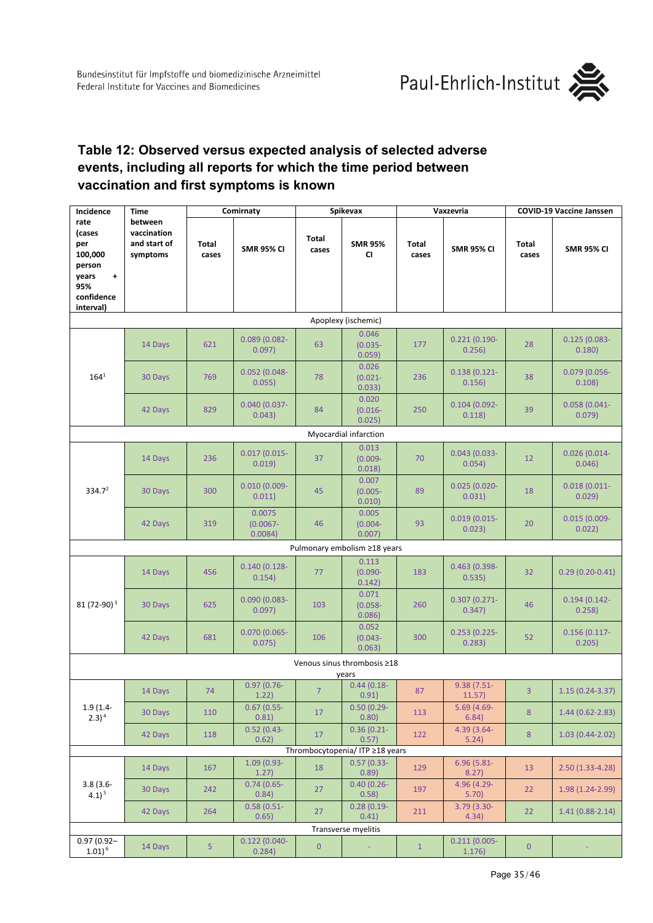

### **[Table 12:](https://www.pei.de/SharedDocs/Bilder/DE/newsroom/dossier/sicherheitsberichte/22-12-2021-tab-12.html) Observed versus expected analysis of selected adverse events, including all reports for which the time period between vaccination and first symptoms is known**

| Incidence                                          | Time<br>between<br>vaccination<br>and start of<br>symptoms | Comirnaty      |                                  | Spikevax              |                                 | Vaxzevria             |                           | <b>COVID-19 Vaccine Janssen</b> |                           |  |  |
|----------------------------------------------------|------------------------------------------------------------|----------------|----------------------------------|-----------------------|---------------------------------|-----------------------|---------------------------|---------------------------------|---------------------------|--|--|
| rate<br>(cases<br>per<br>100,000<br>person         |                                                            | Total<br>cases | <b>SMR 95% CI</b>                | <b>Total</b><br>cases | <b>SMR 95%</b><br><b>CI</b>     | <b>Total</b><br>cases | <b>SMR 95% CI</b>         | Total<br>cases                  | <b>SMR 95% CI</b>         |  |  |
| $\ddag$<br>years<br>95%<br>confidence<br>interval) |                                                            |                |                                  |                       |                                 |                       |                           |                                 |                           |  |  |
| Apoplexy (ischemic)                                |                                                            |                |                                  |                       |                                 |                       |                           |                                 |                           |  |  |
|                                                    | 14 Days                                                    | 621            | $0.089(0.082 -$<br>0.097)        | 63                    | 0.046<br>$(0.035 -$<br>0.059)   | 177                   | $0.221(0.190 -$<br>0.256) | 28                              | $0.125(0.083 -$<br>0.180) |  |  |
| $164^{1}$                                          | 30 Days                                                    | 769            | $0.052(0.048 -$<br>0.055)        | 78                    | 0.026<br>$(0.021 -$<br>0.033)   | 236                   | $0.138(0.121 -$<br>0.156) | 38                              | 0.079 (0.056-<br>0.108)   |  |  |
|                                                    | 42 Days                                                    | 829            | $0.040(0.037 -$<br>0.043)        | 84                    | 0.020<br>$(0.016 -$<br>0.025)   | 250                   | $0.104(0.092 -$<br>0.118) | 39                              | $0.058(0.041 -$<br>0.079) |  |  |
|                                                    |                                                            |                |                                  |                       | Myocardial infarction           |                       |                           |                                 |                           |  |  |
| 334.7 <sup>2</sup>                                 | 14 Days                                                    | 236            | $0.017(0.015 -$<br>0.019)        | 37                    | 0.013<br>$(0.009 -$<br>0.018)   | 70                    | $0.043(0.033 -$<br>0.054) | 12                              | $0.026(0.014 -$<br>0.046) |  |  |
|                                                    | 30 Days                                                    | 300            | $0.010(0.009 -$<br>0.011)        | 45                    | 0.007<br>$(0.005 -$<br>0.010)   | 89                    | $0.025(0.020 -$<br>0.031) | 18                              | $0.018(0.011 -$<br>0.029) |  |  |
|                                                    | 42 Days                                                    | 319            | 0.0075<br>$(0.0067 -$<br>0.0084) | 46                    | 0.005<br>$(0.004 -$<br>0.007)   | 93                    | $0.019(0.015 -$<br>0.023) | 20                              | $0.015(0.009 -$<br>0.022) |  |  |
|                                                    |                                                            |                |                                  |                       | Pulmonary embolism ≥18 years    |                       |                           |                                 |                           |  |  |
| 81 (72-90) <sup>3</sup>                            | 14 Days                                                    | 456            | $0.140(0.128 -$<br>0.154)        | 77                    | 0.113<br>$(0.090 -$<br>0.142)   | 183                   | 0.463 (0.398-<br>0.535)   | 32                              | $0.29(0.20-0.41)$         |  |  |
|                                                    | 30 Days                                                    | 625            | $0.090(0.083 -$<br>0.097)        | 103                   | 0.071<br>$(0.058 -$<br>0.086)   | 260                   | $0.307(0.271 -$<br>0.347) | 46                              | $0.194(0.142 -$<br>0.258) |  |  |
|                                                    | 42 Days                                                    | 681            | $0.070(0.065 -$<br>0.075)        | 106                   | 0.052<br>$(0.043 -$<br>0.063)   | 300                   | $0.253(0.225 -$<br>0.283) | 52                              | $0.156(0.117 -$<br>0.205) |  |  |
|                                                    |                                                            |                |                                  |                       | Venous sinus thrombosis ≥18     |                       |                           |                                 |                           |  |  |
| $1.9(1.4-$<br>$2.3)$ <sup>4</sup>                  | 14 Days                                                    | 74             | $0.97(0.76 -$<br>1.22)           | 7                     | years<br>$0.44(0.18 -$<br>0.91) | 87                    | 9.38 (7.51-<br>11.5/      | 3                               | $1.15(0.24 - 3.37)$       |  |  |
|                                                    | 30 Days                                                    | 110            | $0.67(0.55 -$<br>0.81)           | 17                    | $0.50(0.29 -$<br>0.80)          | 113                   | $5.69(4.69 -$<br>6.84)    | 8                               | $1.44(0.62 - 2.83)$       |  |  |
|                                                    | 42 Days                                                    | 118            | $0.52(0.43 -$<br>0.62)           | 17                    | $0.36(0.21 -$<br>0.57)          | 122                   | 4.39 (3.64-<br>5.24)      | $\bf 8$                         | $1.03(0.44 - 2.02)$       |  |  |
| Thrombocytopenia/ ITP ≥18 years                    |                                                            |                |                                  |                       |                                 |                       |                           |                                 |                           |  |  |
| $3.8(3.6 -$<br>$4.1$ ) <sup>5</sup>                | 14 Days                                                    | 167            | $1.09(0.93 -$<br>1.27)           | 18                    | $0.57(0.33 -$<br>0.89)          | 129                   | $6.96(5.81 -$<br>8.27)    | 13                              | $2.50(1.33-4.28)$         |  |  |
|                                                    | 30 Days                                                    | 242            | $0.74(0.65 -$<br>0.84)           | 27                    | $0.40(0.26 -$<br>0.58)          | 197                   | 4.96 (4.29-<br>5.70)      | 22                              | 1.98 (1.24-2.99)          |  |  |
|                                                    | 42 Days                                                    | 264            | $0.58(0.51 -$<br>0.65)           | 27                    | $0.28(0.19-$<br>0.41)           | 211                   | 3.79 (3.30-<br>4.34)      | 22                              | $1.41(0.88-2.14)$         |  |  |
| Transverse myelitis                                |                                                            |                |                                  |                       |                                 |                       |                           |                                 |                           |  |  |
| $0.97(0.92 -$<br>$1.01)^6$                         | 14 Days                                                    | 5 <sub>1</sub> | $0.122(0.040 -$<br>0.284)        | $\overline{0}$        | ÷                               | $\mathbf{1}$          | $0.211(0.005 -$<br>1.176) | $\mathbf{0}$                    |                           |  |  |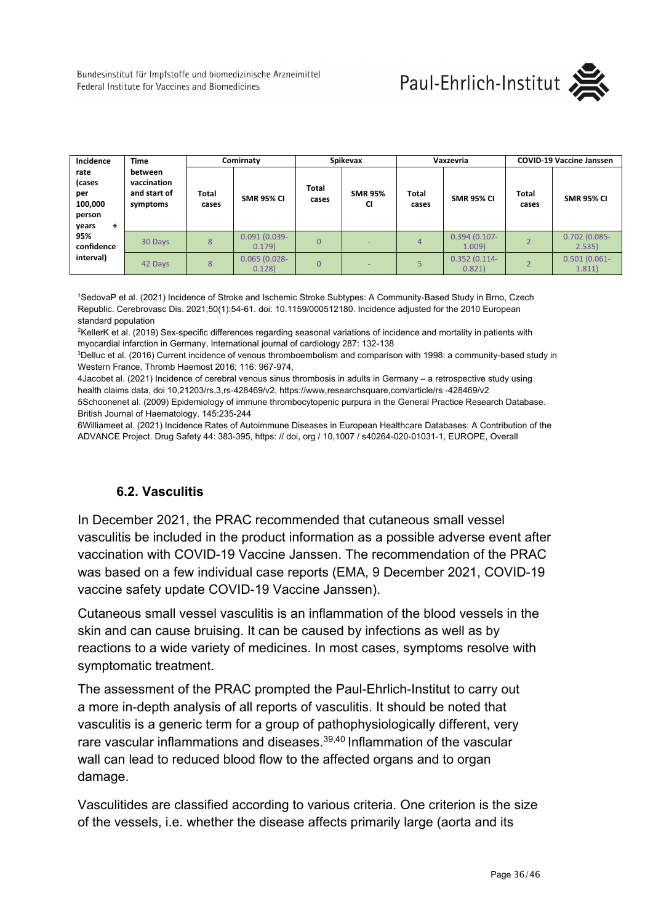Bundesinstitut für Impfstoffe und biomedizinische Arzneimittel Federal Institute for Vaccines and Biomedicines



| Incidence                                                | <b>Time</b>                                        | Comirnaty             |                           | Spikevax              |                             | Vaxzevria             |                          | <b>COVID-19 Vaccine Janssen</b> |                           |
|----------------------------------------------------------|----------------------------------------------------|-----------------------|---------------------------|-----------------------|-----------------------------|-----------------------|--------------------------|---------------------------------|---------------------------|
| rate<br>(cases<br>per<br>100,000<br>person<br>years<br>٠ | between<br>vaccination<br>and start of<br>symptoms | <b>Total</b><br>cases | <b>SMR 95% CI</b>         | <b>Total</b><br>cases | <b>SMR 95%</b><br><b>CI</b> | <b>Total</b><br>cases | <b>SMR 95% CI</b>        | <b>Total</b><br>cases           | <b>SMR 95% CI</b>         |
| 95%<br>confidence                                        | 30 Days                                            | 8                     | $0.091(0.039 -$<br>0.179) | $\Omega$              | ٠                           | 4                     | $0.394(0.107 -$<br>1.009 |                                 | $0.702(0.085 -$<br>2.535) |
| interval)                                                | 42 Days                                            | 8                     | $0.065(0.028 -$<br>0.128  | $\Omega$              |                             |                       | $0.352(0.114 -$<br>0.821 |                                 | $0.501(0.061 -$<br>1.811) |

1 SedovaP et al. (2021) Incidence of Stroke and Ischemic Stroke Subtypes: A Community-Based Study in Brno, Czech Republic. Cerebrovasc Dis. 2021;50(1):54-61. doi: 10.1159/000512180. Incidence adjusted for the 2010 European standard population

2 KellerK et al. (2019) Sex-specific differences regarding seasonal variations of incidence and mortality in patients with myocardial infarction in Germany, International journal of cardiology 287: 132-138

3 Delluc et al. (2016) Current incidence of venous thromboembolism and comparison with 1998: a community-based study in Western France, Thromb Haemost 2016; 116: 967-974,

4Jacobet al. (2021) Incidence of cerebral venous sinus thrombosis in adults in Germany – a retrospective study using health claims data, doi 10,2120[3/rs,3,rs-428469/v2, h](https://doi.org/10.21203/rs.3.rs-428469/v2)ttps://www,researchsquare,com/article/rs -428469/v2 5Schoonenet al. (2009) Epidemiology of immune thrombocytopenic purpura in the General Practice Research Database. British Journal of Haematology. 145:235-244

6Williameet al. (2021) Incidence Rates of Autoimmune Diseases in European Healthcare Databases: A Contribution of the ADVANCE Project. Drug Safety 44: 383-395, https: // doi, org / 10,1007 / s40264-020-01031-1, EUROPE, Overall

### **6.2. Vasculitis**

<span id="page-35-0"></span>In December 2021, the PRAC recommended that cutaneous small vessel vasculitis be included in the product information as a possible adverse event after vaccination with COVID-19 Vaccine Janssen. The recommendation of the PRAC was based on a few individual case reports (EMA, 9 December 2021, COVID-19 vaccine safety update COVID-19 Vaccine Janssen).

Cutaneous small vessel vasculitis is an inflammation of the blood vessels in the skin and can cause bruising. It can be caused by infections as well as by reactions to a wide variety of medicines. In most cases, symptoms resolve with symptomatic treatment.

The assessment of the PRAC prompted the Paul-Ehrlich-Institut to carry out a more in-depth analysis of all reports of vasculitis. It should be noted that vasculitis is a generic term for a group of pathophysiologically different, very rare vascular inflammations and diseases.<sup>39,40</sup> Inflammation of the vascular wall can lead to reduced blood flow to the affected organs and to organ damage.

Vasculitides are classified according to various criteria. One criterion is the size of the vessels, i.e. whether the disease affects primarily large (aorta and its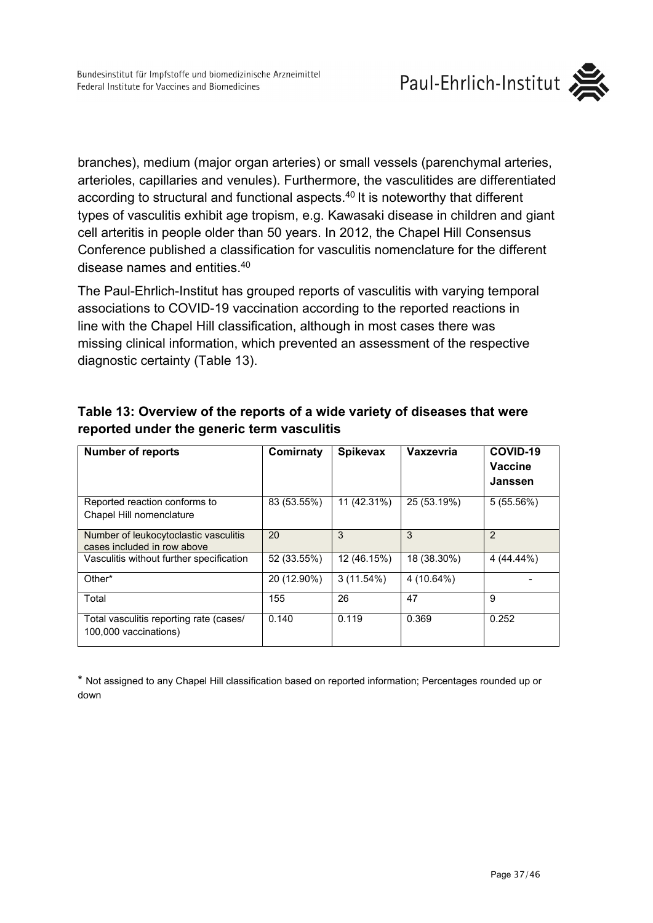

branches), medium (major organ arteries) or small vessels (parenchymal arteries, arterioles, capillaries and venules). Furthermore, the vasculitides are differentiated according to structural and functional aspects.40 It is noteworthy that different types of vasculitis exhibit age tropism, e.g. Kawasaki disease in children and giant cell arteritis in people older than 50 years. In 2012, the Chapel Hill Consensus Conference published a classification for vasculitis nomenclature for the different disease names and entities.40

The Paul-Ehrlich-Institut has grouped reports of vasculitis with varying temporal associations to COVID-19 vaccination according to the reported reactions in line with the Chapel Hill classification, although in most cases there was missing clinical information, which prevented an assessment of the respective diagnostic certainty (Table 13).

| <b>Number of reports</b>                                             | Comirnaty   | <b>Spikevax</b> | Vaxzevria   | COVID-19<br><b>Vaccine</b><br>Janssen |
|----------------------------------------------------------------------|-------------|-----------------|-------------|---------------------------------------|
| Reported reaction conforms to<br>Chapel Hill nomenclature            | 83 (53.55%) | 11 (42.31%)     | 25 (53.19%) | 5(55.56%)                             |
| Number of leukocytoclastic vasculitis<br>cases included in row above | 20          | 3               | 3           | $\overline{2}$                        |
| Vasculitis without further specification                             | 52 (33.55%) | 12 (46.15%)     | 18 (38.30%) | 4 (44.44%)                            |
| Other*                                                               | 20 (12.90%) | 3(11.54%)       | 4 (10.64%)  |                                       |
| Total                                                                | 155         | 26              | 47          | 9                                     |
| Total vasculitis reporting rate (cases/<br>100,000 vaccinations)     | 0.140       | 0.119           | 0.369       | 0.252                                 |

### **Table 13: Overview of the reports of a wide variety of diseases that were reported under the generic term vasculitis**

\* Not assigned to any Chapel Hill classification based on reported information; Percentages rounded up or down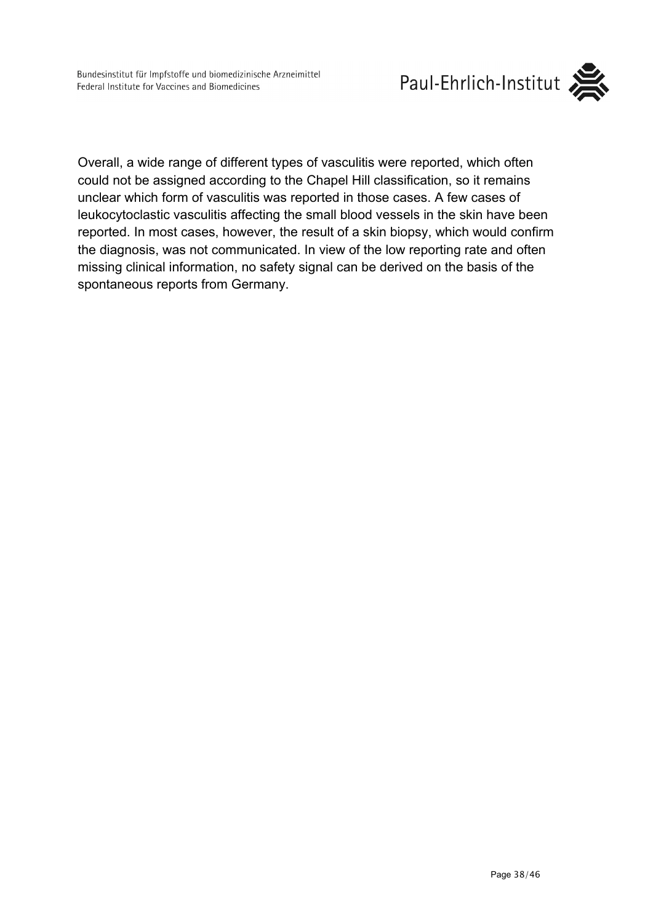

Overall, a wide range of different types of vasculitis were reported, which often could not be assigned according to the Chapel Hill classification, so it remains unclear which form of vasculitis was reported in those cases. A few cases of leukocytoclastic vasculitis affecting the small blood vessels in the skin have been reported. In most cases, however, the result of a skin biopsy, which would confirm the diagnosis, was not communicated. In view of the low reporting rate and often missing clinical information, no safety signal can be derived on the basis of the spontaneous reports from Germany.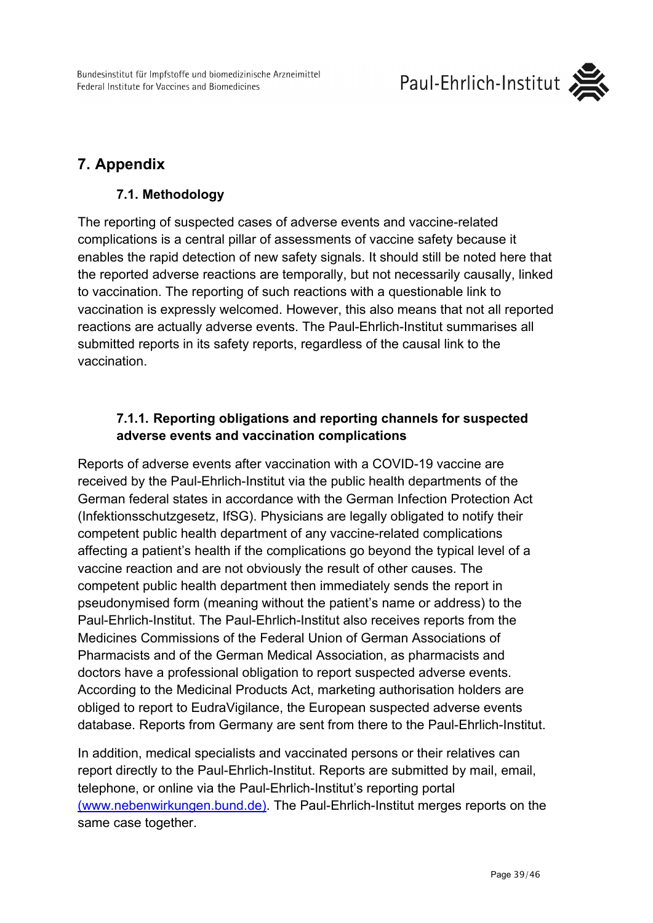Bundesinstitut für Impfstoffe und biomedizinische Arzneimittel Federal Institute for Vaccines and Biomedicines



# <span id="page-38-1"></span><span id="page-38-0"></span>**7. Appendix**

### **7.1. Methodology**

The reporting of suspected cases of adverse events and vaccine-related complications is a central pillar of assessments of vaccine safety because it enables the rapid detection of new safety signals. It should still be noted here that the reported adverse reactions are temporally, but not necessarily causally, linked to vaccination. The reporting of such reactions with a questionable link to vaccination is expressly welcomed. However, this also means that not all reported reactions are actually adverse events. The Paul-Ehrlich-Institut summarises all submitted reports in its safety reports, regardless of the causal link to the vaccination.

### **7.1.1. Reporting obligations and reporting channels for suspected adverse events and vaccination complications**

<span id="page-38-2"></span>Reports of adverse events after vaccination with a COVID-19 vaccine are received by the Paul-Ehrlich-Institut via the public health departments of the German federal states in accordance with the German Infection Protection Act (Infektionsschutzgesetz, IfSG). Physicians are legally obligated to notify their competent public health department of any vaccine-related complications affecting a patient's health if the complications go beyond the typical level of a vaccine reaction and are not obviously the result of other causes. The competent public health department then immediately sends the report in pseudonymised form (meaning without the patient's name or address) to the Paul-Ehrlich-Institut. The Paul-Ehrlich-Institut also receives reports from the Medicines Commissions of the Federal Union of German Associations of Pharmacists and of the German Medical Association, as pharmacists and doctors have a professional obligation to report suspected adverse events. According to the Medicinal Products Act, marketing authorisation holders are obliged to report to EudraVigilance, the European suspected adverse events database. Reports from Germany are sent from there to the Paul-Ehrlich-Institut.

In addition, medical specialists and vaccinated persons or their relatives can report directly to the Paul-Ehrlich-Institut. Reports are submitted by mail, email, telephone, or online via the Paul-Ehrlich-Institut's reporting portal (www.nebenwirkungen.bund.de). The Paul-Ehrlich-Institut merges reports on the same case together.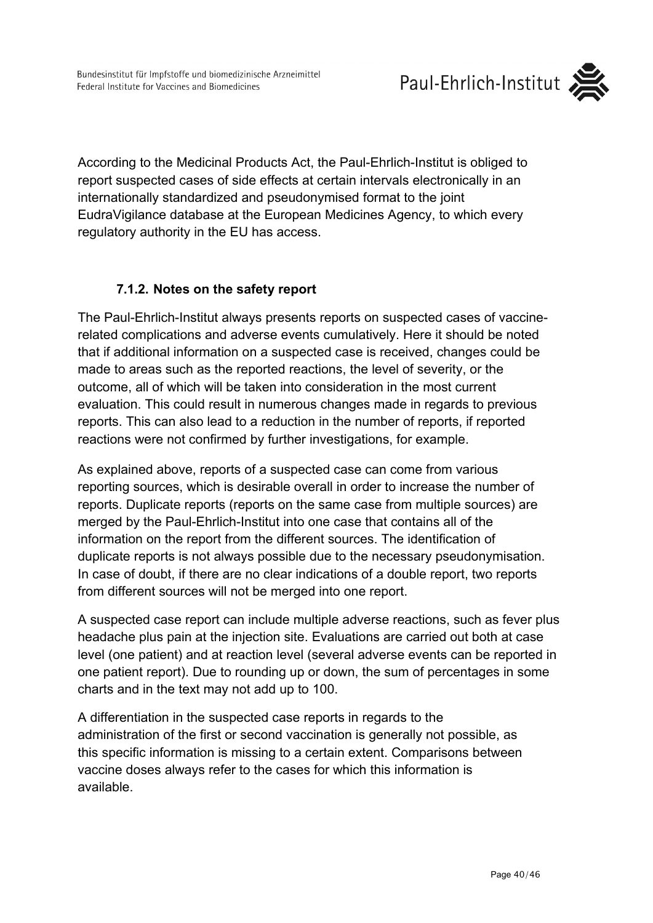According to the Medicinal Products Act, the Paul-Ehrlich-Institut is obliged to report suspected cases of side effects at certain intervals electronically in an internationally standardized and pseudonymised format to the joint EudraVigilance database at the European Medicines Agency, to which every regulatory authority in the EU has access.

### **7.1.2. Notes on the safety report**

<span id="page-39-0"></span>The Paul-Ehrlich-Institut always presents reports on suspected cases of vaccinerelated complications and adverse events cumulatively. Here it should be noted that if additional information on a suspected case is received, changes could be made to areas such as the reported reactions, the level of severity, or the outcome, all of which will be taken into consideration in the most current evaluation. This could result in numerous changes made in regards to previous reports. This can also lead to a reduction in the number of reports, if reported reactions were not confirmed by further investigations, for example.

As explained above, reports of a suspected case can come from various reporting sources, which is desirable overall in order to increase the number of reports. Duplicate reports (reports on the same case from multiple sources) are merged by the Paul-Ehrlich-Institut into one case that contains all of the information on the report from the different sources. The identification of duplicate reports is not always possible due to the necessary pseudonymisation. In case of doubt, if there are no clear indications of a double report, two reports from different sources will not be merged into one report.

A suspected case report can include multiple adverse reactions, such as fever plus headache plus pain at the injection site. Evaluations are carried out both at case level (one patient) and at reaction level (several adverse events can be reported in one patient report). Due to rounding up or down, the sum of percentages in some charts and in the text may not add up to 100.

A differentiation in the suspected case reports in regards to the administration of the first or second vaccination is generally not possible, as this specific information is missing to a certain extent. Comparisons between vaccine doses always refer to the cases for which this information is available.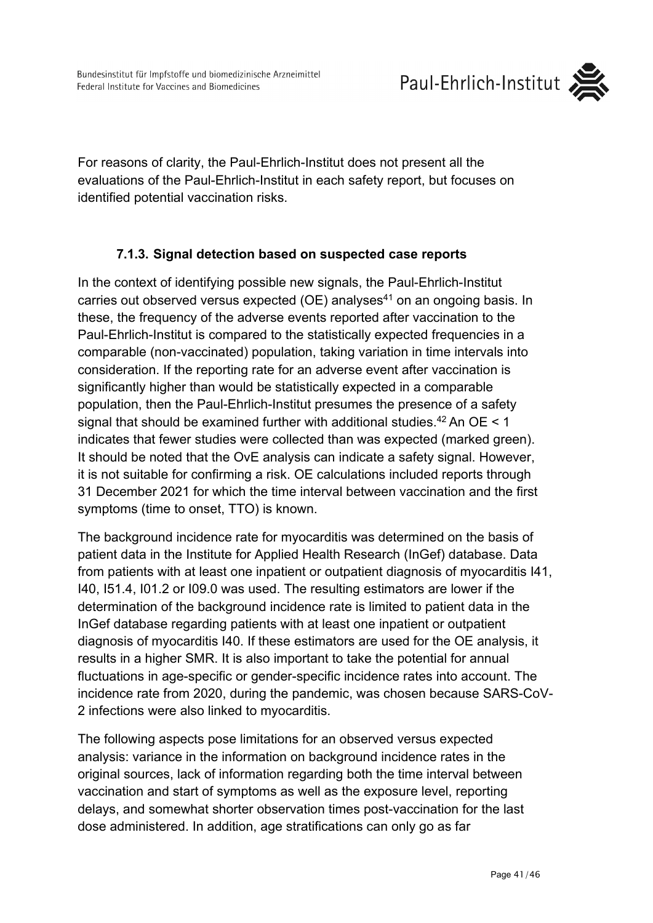

For reasons of clarity, the Paul-Ehrlich-Institut does not present all the evaluations of the Paul-Ehrlich-Institut in each safety report, but focuses on identified potential vaccination risks.

### **7.1.3. Signal detection based on suspected case reports**

<span id="page-40-0"></span>In the context of identifying possible new signals, the Paul-Ehrlich-Institut carries out observed versus expected (OE) analyses<sup>41</sup> on an ongoing basis. In these, the frequency of the adverse events reported after vaccination to the Paul-Ehrlich-Institut is compared to the statistically expected frequencies in a comparable (non-vaccinated) population, taking variation in time intervals into consideration. If the reporting rate for an adverse event after vaccination is significantly higher than would be statistically expected in a comparable population, then the Paul-Ehrlich-Institut presumes the presence of a safety signal that should be examined further with additional studies.<sup>42</sup> An OE < 1 indicates that fewer studies were collected than was expected (marked green). It should be noted that the OvE analysis can indicate a safety signal. However, it is not suitable for confirming a risk. OE calculations included reports through 31 December 2021 for which the time interval between vaccination and the first symptoms (time to onset, TTO) is known.

The background incidence rate for myocarditis was determined on the basis of patient data in the Institute for Applied Health Research (InGef) database. Data from patients with at least one inpatient or outpatient diagnosis of myocarditis I41, I40, I51.4, I01.2 or I09.0 was used. The resulting estimators are lower if the determination of the background incidence rate is limited to patient data in the InGef database regarding patients with at least one inpatient or outpatient diagnosis of myocarditis I40. If these estimators are used for the OE analysis, it results in a higher SMR. It is also important to take the potential for annual fluctuations in age-specific or gender-specific incidence rates into account. The incidence rate from 2020, during the pandemic, was chosen because SARS-CoV-2 infections were also linked to myocarditis.

The following aspects pose limitations for an observed versus expected analysis: variance in the information on background incidence rates in the original sources, lack of information regarding both the time interval between vaccination and start of symptoms as well as the exposure level, reporting delays, and somewhat shorter observation times post-vaccination for the last dose administered. In addition, age stratifications can only go as far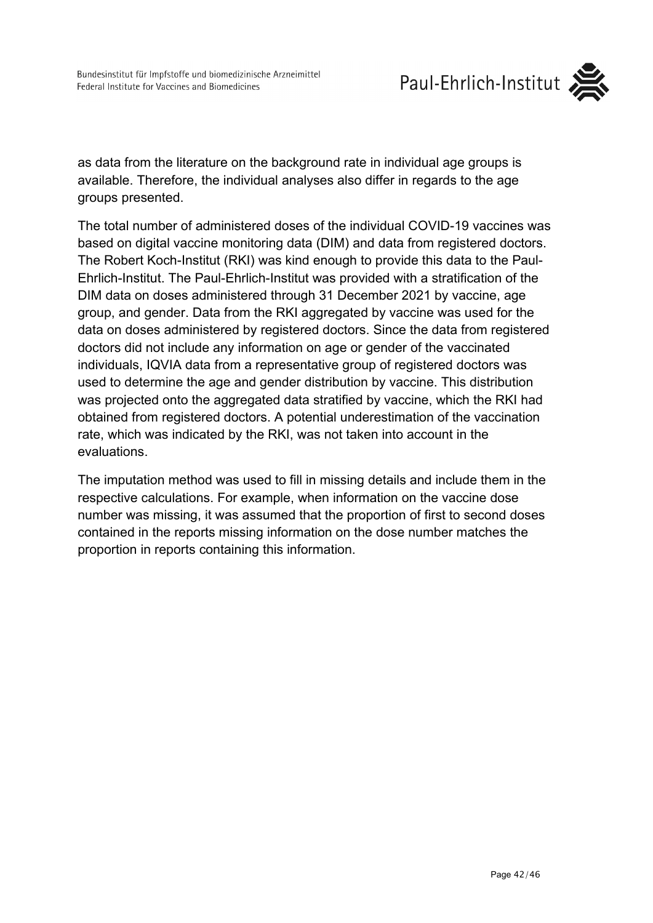

as data from the literature on the background rate in individual age groups is available. Therefore, the individual analyses also differ in regards to the age groups presented.

The total number of administered doses of the individual COVID-19 vaccines was based on digital vaccine monitoring data (DIM) and data from registered doctors. The Robert Koch-Institut (RKI) was kind enough to provide this data to the Paul-Ehrlich-Institut. The Paul-Ehrlich-Institut was provided with a stratification of the DIM data on doses administered through 31 December 2021 by vaccine, age group, and gender. Data from the RKI aggregated by vaccine was used for the data on doses administered by registered doctors. Since the data from registered doctors did not include any information on age or gender of the vaccinated individuals, IQVIA data from a representative group of registered doctors was used to determine the age and gender distribution by vaccine. This distribution was projected onto the aggregated data stratified by vaccine, which the RKI had obtained from registered doctors. A potential underestimation of the vaccination rate, which was indicated by the RKI, was not taken into account in the evaluations.

The imputation method was used to fill in missing details and include them in the respective calculations. For example, when information on the vaccine dose number was missing, it was assumed that the proportion of first to second doses contained in the reports missing information on the dose number matches the proportion in reports containing this information.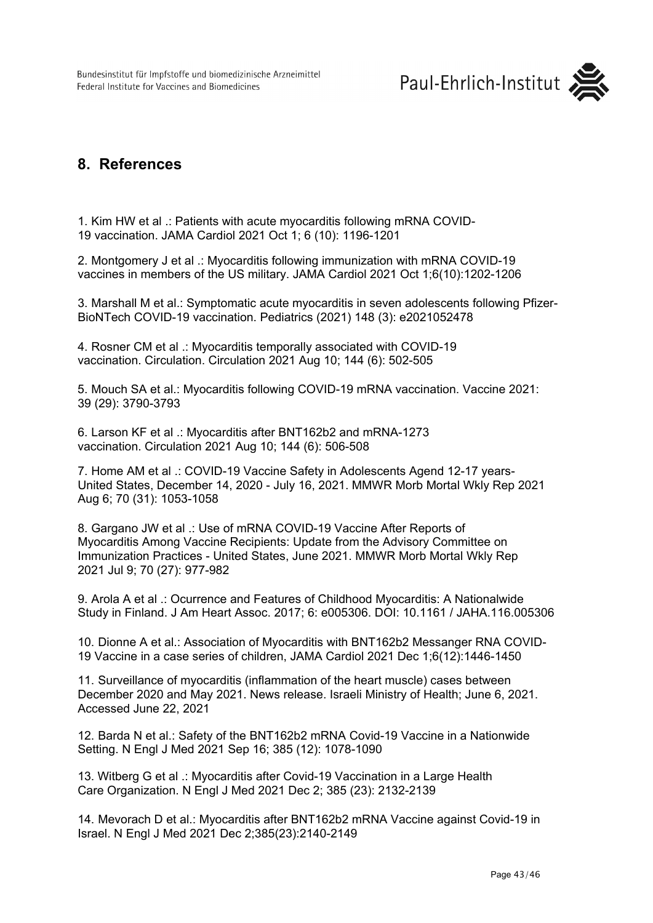

## <span id="page-42-0"></span>**8. References**

1. Kim HW et al .: Patients with acute myocarditis following mRNA COVID-19 vaccination. JAMA Cardiol 2021 Oct 1; 6 (10): 1196-1201

2. Montgomery J et al .: Myocarditis following immunization with mRNA COVID-19 vaccines in members of the US military. JAMA Cardiol 2021 Oct 1;6(10):1202-1206

3. Marshall M et al.: Symptomatic acute myocarditis in seven adolescents following Pfizer-BioNTech COVID-19 vaccination. Pediatrics (2021) 148 (3): e2021052478

4. Rosner CM et al .: Myocarditis temporally associated with COVID-19 vaccination. Circulation. Circulation 2021 Aug 10; 144 (6): 502-505

5. Mouch SA et al.: Myocarditis following COVID-19 mRNA vaccination. Vaccine 2021: 39 (29): 3790-3793

6. Larson KF et al .: Myocarditis after BNT162b2 and mRNA-1273 vaccination. Circulation 2021 Aug 10; 144 (6): 506-508

7. Home AM et al .: COVID-19 Vaccine Safety in Adolescents Agend 12-17 years-United States, December 14, 2020 - July 16, 2021. MMWR Morb Mortal Wkly Rep 2021 Aug 6; 70 (31): 1053-1058

8. Gargano JW et al .: Use of mRNA COVID-19 Vaccine After Reports of Myocarditis Among Vaccine Recipients: Update from the Advisory Committee on Immunization Practices - United States, June 2021. MMWR Morb Mortal Wkly Rep 2021 Jul 9; 70 (27): 977-982

9. Arola A et al .: Ocurrence and Features of Childhood Myocarditis: A Nationalwide Study in Finland. J Am Heart Assoc. 2017; 6: e005306. DOI: 10.1161 / JAHA.116.005306

10. Dionne A et al.: Association of Myocarditis with BNT162b2 Messanger RNA COVID-19 Vaccine in a case series of children, JAMA Cardiol 2021 Dec 1;6(12):1446-1450

11. Surveillance of myocarditis (inflammation of the heart muscle) cases between December 2020 and May 2021. News release. Israeli Ministry of Health; June 6, 2021. Accessed June 22, 2021

12. Barda N et al.: Safety of the BNT162b2 mRNA Covid-19 Vaccine in a Nationwide Setting. N Engl J Med 2021 Sep 16; 385 (12): 1078-1090

13. Witberg G et al .: Myocarditis after Covid-19 Vaccination in a Large Health Care Organization. N Engl J Med 2021 Dec 2; 385 (23): 2132-2139

14. Mevorach D et al.: Myocarditis after BNT162b2 mRNA Vaccine against Covid-19 in Israel. N Engl J Med 2021 Dec 2;385(23):2140-2149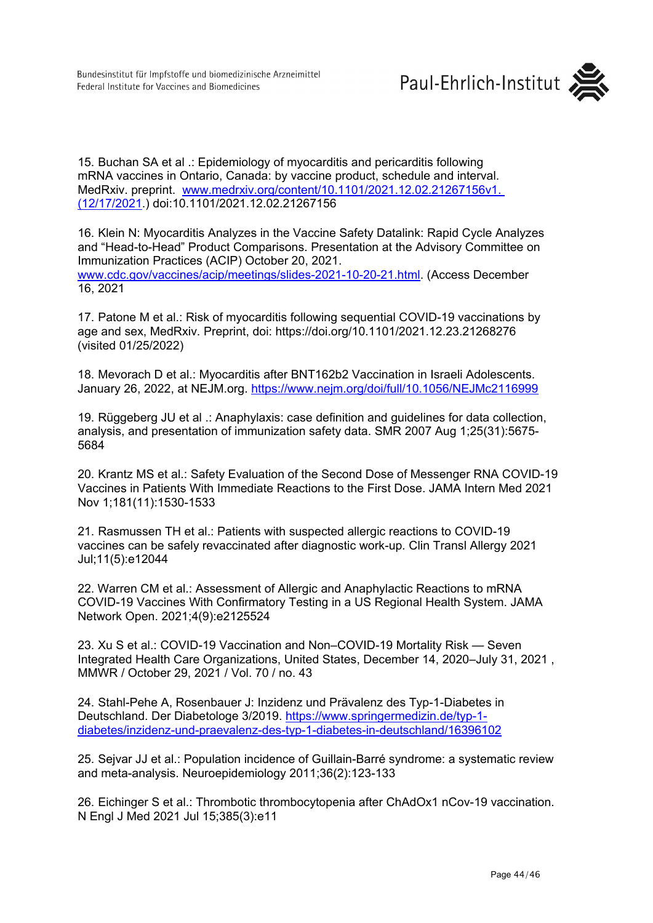

15. Buchan SA et al .: Epidemiology of myocarditis and pericarditis following mRNA vaccines in Ontario, Canada: by vaccine product, schedule and interval. MedRxiv. preprint. [www.medrxiv.org/content/10.1101/2021.12.02.21267156v1.](http://www.medrxiv.org/content/10.1101/2021.12.02.21267156v1.%20(17)  [\(12/17/2021.](http://www.medrxiv.org/content/10.1101/2021.12.02.21267156v1.%20(17)) doi:10.1101/2021.12.02.21267156

16. Klein N: Myocarditis Analyzes in the Vaccine Safety Datalink: Rapid Cycle Analyzes and "Head-to-Head" Product Comparisons. Presentation at the Advisory Committee on Immunization Practices (ACIP) October 20, 2021. [www.cdc.gov/vaccines/acip/meetings/slides-2021-10-20-21.html.](http://www.cdc.gov/vaccines/acip/meetings/slides-2021-10-20-21.html) (Access December 16, 2021

17. Patone M et al.: Risk of myocarditis following sequential COVID-19 vaccinations by age and sex, MedRxiv. Preprint, doi:<https://doi.org/10.1101/2021.12.23.21268276> (visited 01/25/2022)

18. Mevorach D et al.: Myocarditis after BNT162b2 Vaccination in Israeli Adolescents. January 26, 2022, at NEJM.org. <https://www.nejm.org/doi/full/10.1056/NEJMc2116999>

19. Rüggeberg JU et al .: Anaphylaxis: case definition and guidelines for data collection, analysis, and presentation of immunization safety data. SMR 2007 Aug 1;25(31):5675- 5684

20. Krantz MS et al.: Safety Evaluation of the Second Dose of Messenger RNA COVID-19 Vaccines in Patients With Immediate Reactions to the First Dose. JAMA Intern Med 2021 Nov 1;181(11):1530-1533

21. Rasmussen TH et al.: Patients with suspected allergic reactions to COVID-19 vaccines can be safely revaccinated after diagnostic work-up*.* Clin Transl Allergy 2021 Jul;11(5):e12044

22. Warren CM et al.: Assessment of Allergic and Anaphylactic Reactions to mRNA COVID-19 Vaccines With Confirmatory Testing in a US Regional Health System. JAMA Network Open. 2021;4(9):e2125524

23. Xu S et al.: COVID-19 Vaccination and Non–COVID-19 Mortality Risk — Seven Integrated Health Care Organizations, United States, December 14, 2020–July 31, 2021 , MMWR / October 29, 2021 / Vol. 70 / no. 43

24. Stahl-Pehe A, Rosenbauer J: Inzidenz und Prävalenz des Typ-1-Diabetes in Deutschland. Der Diabetologe 3/2019. [https://www.springermedizin.de/typ-1](https://www.springermedizin.de/typ-1-diabetes/inzidenz-und-praevalenz-des-typ-1-diabetes-in-deutschland/16396102) [diabetes/inzidenz-und-praevalenz-des-typ-1-diabetes-in-deutschland/16396102](https://www.springermedizin.de/typ-1-diabetes/inzidenz-und-praevalenz-des-typ-1-diabetes-in-deutschland/16396102)

25. Sejvar JJ et al.: Population incidence of Guillain-Barré syndrome: a systematic review and meta-analysis. Neuroepidemiology 2011;36(2):123-133

26. Eichinger S et al.: Thrombotic thrombocytopenia after ChAdOx1 nCov-19 vaccination. N Engl J Med 2021 Jul 15;385(3):e11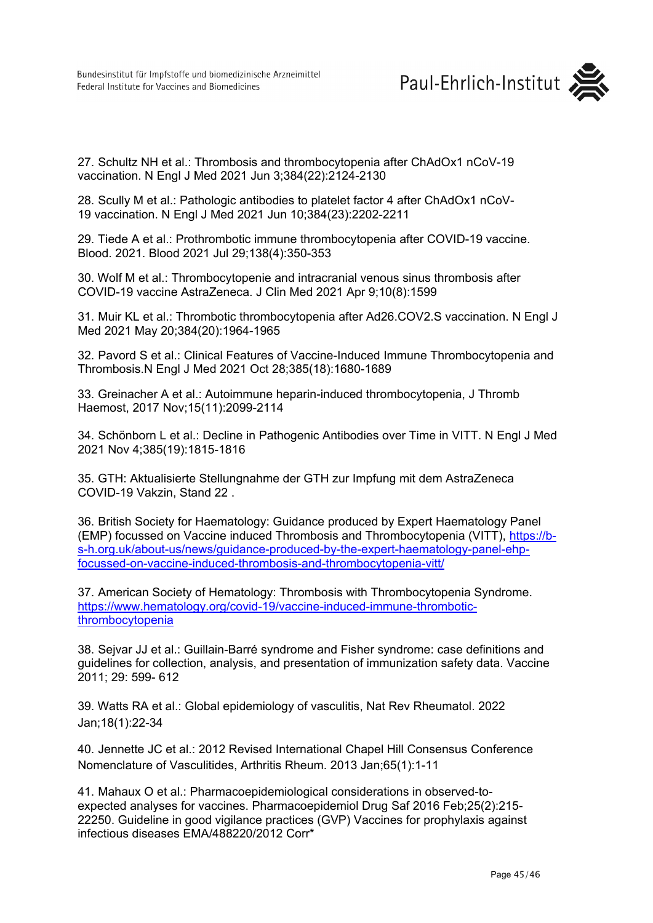27. Schultz NH et al.: Thrombosis and thrombocytopenia after ChAdOx1 nCoV-19 vaccination. N Engl J Med 2021 Jun 3;384(22):2124-2130

28. Scully M et al.: Pathologic antibodies to platelet factor 4 after ChAdOx1 nCoV-19 vaccination. N Engl J Med 2021 Jun 10;384(23):2202-2211

29. Tiede A et al.: Prothrombotic immune thrombocytopenia after COVID-19 vaccine. Blood. 2021. Blood 2021 Jul 29;138(4):350-353

30. Wolf M et al.: Thrombocytopenie and intracranial venous sinus thrombosis after COVID-19 vaccine AstraZeneca. J Clin Med 2021 Apr 9;10(8):1599

31. Muir KL et al.: Thrombotic thrombocytopenia after Ad26.COV2.S vaccination. N Engl J Med 2021 May 20;384(20):1964-1965

32. Pavord S et al.: Clinical Features of Vaccine-Induced Immune Thrombocytopenia and Thrombosis.N Engl J Med 2021 Oct 28;385(18):1680-1689

33. Greinacher A et al.: Autoimmune heparin-induced thrombocytopenia, J Thromb Haemost, 2017 Nov;15(11):2099-2114

34. Schönborn L et al.: Decline in Pathogenic Antibodies over Time in VITT. N Engl J Med 2021 Nov 4;385(19):1815-1816

35. GTH: Aktualisierte Stellungnahme der GTH zur Impfung mit dem AstraZeneca COVID-19 Vakzin, Stand 22 .

36. British Society for Haematology: Guidance produced by Expert Haematology Panel (EMP) focussed on Vaccine induced Thrombosis and Thrombocytopenia (VITT), [https://b](https://b-s-h.org.uk/about-us/news/guidance-produced-by-the-expert-haematology-panel-ehp-focussed-on-vaccine-induced-thrombosis-and-thrombocytopenia-vitt/)[s-h.org.uk/about-us/news/guidance-produced-by-the-expert-haematology-panel-ehp](https://b-s-h.org.uk/about-us/news/guidance-produced-by-the-expert-haematology-panel-ehp-focussed-on-vaccine-induced-thrombosis-and-thrombocytopenia-vitt/)[focussed-on-vaccine-induced-thrombosis-and-thrombocytopenia-vitt/](https://b-s-h.org.uk/about-us/news/guidance-produced-by-the-expert-haematology-panel-ehp-focussed-on-vaccine-induced-thrombosis-and-thrombocytopenia-vitt/)

37. American Society of Hematology: Thrombosis with Thrombocytopenia Syndrome. [https://www.hematology.org/covid-19/vaccine-induced-immune-thrombotic](https://www.hematology.org/covid-19/vaccine-induced-immune-thrombotic-thrombocytopenia)[thrombocytopenia](https://www.hematology.org/covid-19/vaccine-induced-immune-thrombotic-thrombocytopenia)

38. Sejvar JJ et al.: Guillain-Barré syndrome and Fisher syndrome: case definitions and guidelines for collection, analysis, and presentation of immunization safety data. Vaccine 2011; 29: 599- 612

39. Watts RA et al.: Global epidemiology of vasculitis, Nat Rev Rheumatol. 2022 Jan;18(1):22-34

40. Jennette JC et al.: 2012 Revised International Chapel Hill Consensus Conference Nomenclature of Vasculitides, Arthritis Rheum. 2013 Jan;65(1):1-11

41. Mahaux O et al.: Pharmacoepidemiological considerations in observed-toexpected analyses for vaccines. Pharmacoepidemiol Drug Saf 2016 Feb;25(2):215- 22250. Guideline in good vigilance practices (GVP) Vaccines for prophylaxis against infectious diseases EMA/488220/2012 Corr\*